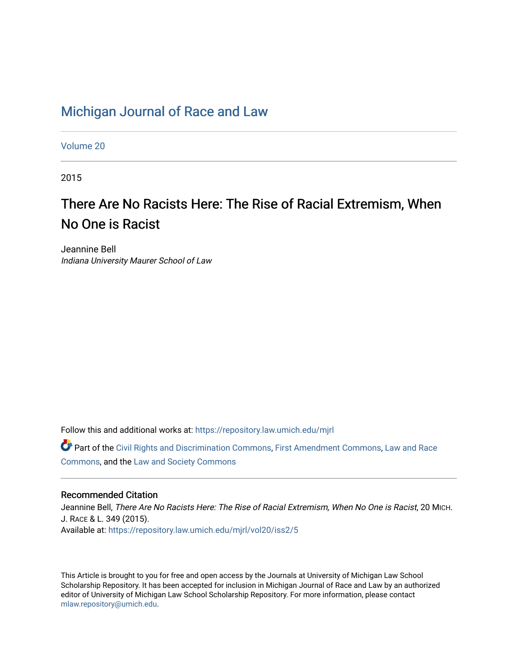# [Michigan Journal of Race and Law](https://repository.law.umich.edu/mjrl)

[Volume 20](https://repository.law.umich.edu/mjrl/vol20)

2015

# There Are No Racists Here: The Rise of Racial Extremism, When No One is Racist

Jeannine Bell Indiana University Maurer School of Law

Follow this and additional works at: [https://repository.law.umich.edu/mjrl](https://repository.law.umich.edu/mjrl?utm_source=repository.law.umich.edu%2Fmjrl%2Fvol20%2Fiss2%2F5&utm_medium=PDF&utm_campaign=PDFCoverPages) 

Part of the [Civil Rights and Discrimination Commons,](http://network.bepress.com/hgg/discipline/585?utm_source=repository.law.umich.edu%2Fmjrl%2Fvol20%2Fiss2%2F5&utm_medium=PDF&utm_campaign=PDFCoverPages) [First Amendment Commons,](http://network.bepress.com/hgg/discipline/1115?utm_source=repository.law.umich.edu%2Fmjrl%2Fvol20%2Fiss2%2F5&utm_medium=PDF&utm_campaign=PDFCoverPages) [Law and Race](http://network.bepress.com/hgg/discipline/1300?utm_source=repository.law.umich.edu%2Fmjrl%2Fvol20%2Fiss2%2F5&utm_medium=PDF&utm_campaign=PDFCoverPages) [Commons](http://network.bepress.com/hgg/discipline/1300?utm_source=repository.law.umich.edu%2Fmjrl%2Fvol20%2Fiss2%2F5&utm_medium=PDF&utm_campaign=PDFCoverPages), and the [Law and Society Commons](http://network.bepress.com/hgg/discipline/853?utm_source=repository.law.umich.edu%2Fmjrl%2Fvol20%2Fiss2%2F5&utm_medium=PDF&utm_campaign=PDFCoverPages)

# Recommended Citation

Jeannine Bell, There Are No Racists Here: The Rise of Racial Extremism, When No One is Racist, 20 MICH. J. RACE & L. 349 (2015). Available at: [https://repository.law.umich.edu/mjrl/vol20/iss2/5](https://repository.law.umich.edu/mjrl/vol20/iss2/5?utm_source=repository.law.umich.edu%2Fmjrl%2Fvol20%2Fiss2%2F5&utm_medium=PDF&utm_campaign=PDFCoverPages) 

This Article is brought to you for free and open access by the Journals at University of Michigan Law School Scholarship Repository. It has been accepted for inclusion in Michigan Journal of Race and Law by an authorized editor of University of Michigan Law School Scholarship Repository. For more information, please contact [mlaw.repository@umich.edu.](mailto:mlaw.repository@umich.edu)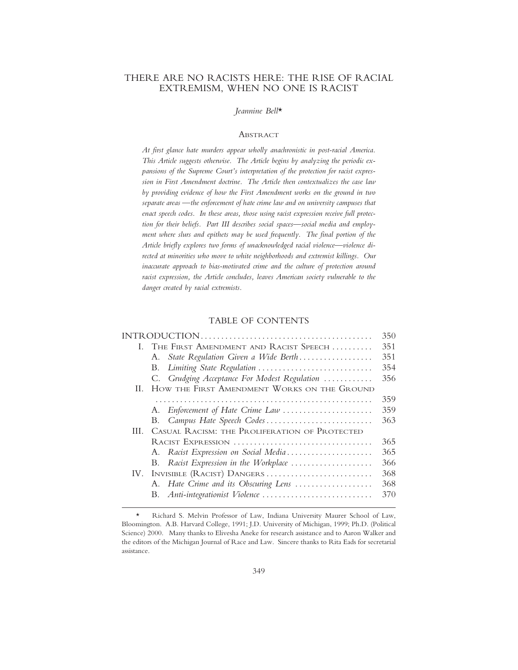# THERE ARE NO RACISTS HERE: THE RISE OF RACIAL EXTREMISM, WHEN NO ONE IS RACIST

#### *Jeannine Bell*\*

#### **ABSTRACT**

*At first glance hate murders appear wholly anachronistic in post-racial America. This Article suggests otherwise. The Article begins by analyzing the periodic expansions of the Supreme Court's interpretation of the protection for racist expression in First Amendment doctrine. The Article then contextualizes the case law by providing evidence of how the First Amendment works on the ground in two separate areas —the enforcement of hate crime law and on university campuses that enact speech codes. In these areas, those using racist expression receive full protection for their beliefs. Part III describes social spaces—social media and employment where slurs and epithets may be used frequently. The final portion of the Article briefly explores two forms of unacknowledged racial violence—violence directed at minorities who move to white neighborhoods and extremist killings. Our inaccurate approach to bias-motivated crime and the culture of protection around racist expression, the Article concludes, leaves American society vulnerable to the danger created by racial extremists.*

# TABLE OF CONTENTS

|     |                                               | 350 |
|-----|-----------------------------------------------|-----|
|     | I. THE FIRST AMENDMENT AND RACIST SPEECH      | 351 |
|     | State Regulation Given a Wide Berth<br>А.     | 351 |
|     | Limiting State Regulation<br>В.               | 354 |
|     | C. Grudging Acceptance For Modest Regulation  | 356 |
| Н.  | HOW THE FIRST AMENDMENT WORKS ON THE GROUND   |     |
|     |                                               | 359 |
|     | A. Enforcement of Hate Crime Law              | 359 |
|     | B. Campus Hate Speech Codes                   | 363 |
| HL. | CASUAL RACISM: THE PROLIFERATION OF PROTECTED |     |
|     | RACIST EXPRESSION                             | 365 |
|     | A. Racist Expression on Social Media          | 365 |
|     | Racist Expression in the Workplace<br>В.      | 366 |
| IV. | INVISIBLE (RACIST) DANGERS                    | 368 |
|     | A. Hate Crime and its Obscuring Lens          | 368 |
|     | Anti-integrationist Violence<br>В.            | 370 |
|     |                                               |     |

<sup>\*</sup> Richard S. Melvin Professor of Law, Indiana University Maurer School of Law, Bloomington. A.B. Harvard College, 1991; J.D. University of Michigan, 1999; Ph.D. (Political Science) 2000. Many thanks to Elivesha Aneke for research assistance and to Aaron Walker and the editors of the Michigan Journal of Race and Law. Sincere thanks to Rita Eads for secretarial assistance.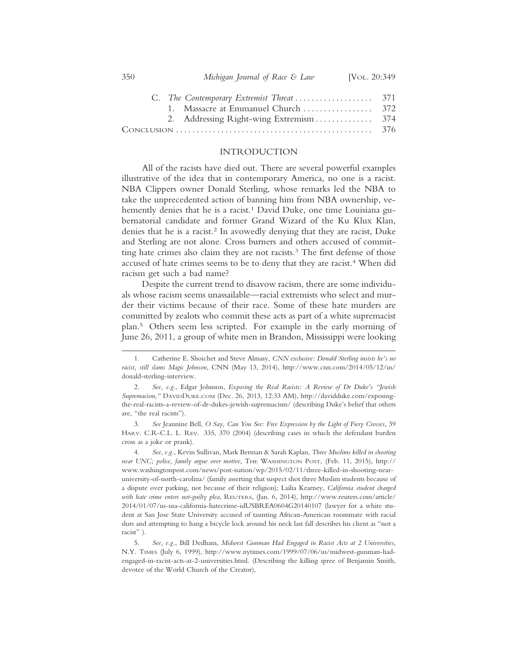| 350 |  | Michigan Journal of Race & Law | [VOL. 20:349 |
|-----|--|--------------------------------|--------------|
|-----|--|--------------------------------|--------------|

| $Conv$ CONCLUSION $\ldots \ldots \ldots \ldots \ldots \ldots \ldots \ldots \ldots \ldots \ldots$ |  |
|--------------------------------------------------------------------------------------------------|--|

#### INTRODUCTION

All of the racists have died out. There are several powerful examples illustrative of the idea that in contemporary America, no one is a racist. NBA Clippers owner Donald Sterling, whose remarks led the NBA to take the unprecedented action of banning him from NBA ownership, vehemently denies that he is a racist.<sup>1</sup> David Duke, one time Louisiana gubernatorial candidate and former Grand Wizard of the Ku Klux Klan, denies that he is a racist.<sup>2</sup> In avowedly denying that they are racist, Duke and Sterling are not alone. Cross burners and others accused of committing hate crimes also claim they are not racists.<sup>3</sup> The first defense of those accused of hate crimes seems to be to deny that they are racist.<sup>4</sup> When did racism get such a bad name?

Despite the current trend to disavow racism, there are some individuals whose racism seems unassailable—racial extremists who select and murder their victims because of their race. Some of these hate murders are committed by zealots who commit these acts as part of a white supremacist plan.5 Others seem less scripted. For example in the early morning of June 26, 2011, a group of white men in Brandon, Mississippi were looking

3. *See* Jeannine Bell, *O Say, Can You See: Free Expression by the Light of Fiery Crosses*, 39 HARV. C.R-C.L. L. REV. 335, 370 (2004) (describing cases in which the defendant burden cross as a joke or prank).

4. *See*, *e.g.*, Kevin Sullivan, Mark Berman & Sarah Kaplan, *Three Muslims killed in shooting near UNC; police, family argue over motive*, THE WASHINGTON POST, (Feb. 11, 2015), http:// www.washingtonpost.com/news/post-nation/wp/2015/02/11/three-killed-in-shooting-nearuniversity-of-north-carolina/ (family asserting that suspect shot three Muslim students because of a dispute over parking, not because of their religion); Lailia Kearney, *California student charged with hate crime enters not-guilty plea*, REUTERS, (Jan. 6, 2014), http://www.reuters.com/article/ 2014/01/07/us-usa-california-hatecrime-idUSBREA0604G20140107 (lawyer for a white student at San Jose State University accused of taunting African-American roommate with racial slurs and attempting to hang a bicycle lock around his neck last fall describes his client as "not a racist" ).

<sup>1.</sup> Catherine E. Shoichet and Steve Almasy, *CNN exclusive: Donald Sterling insists he's no racist, still slams Magic Johnson*, CNN (May 13, 2014), http://www.cnn.com/2014/05/12/us/ donald-sterling-interview.

<sup>2.</sup> *See*, *e.g.*, Edgar Johnson, *Exposing the Real Racists: A Review of Dr Duke's "Jewish Supremacism,"* DAVIDDUKE.COM (Dec. 26, 2013, 12:33 AM), http://davidduke.com/exposingthe-real-racists-a-review-of-dr-dukes-jewish-supremacism/ (describing Duke's belief that others are, "the real racists").

<sup>5.</sup> *See, e.g.*, Bill Dedham, *Midwest Gunman Had Engaged in Racist Acts at 2 Universities*, N.Y. TIMES (July 6, 1999), http://www.nytimes.com/1999/07/06/us/midwest-gunman-hadengaged-in-racist-acts-at-2-universities.html. (Describing the killing spree of Benjamin Smith, devotee of the World Church of the Creator),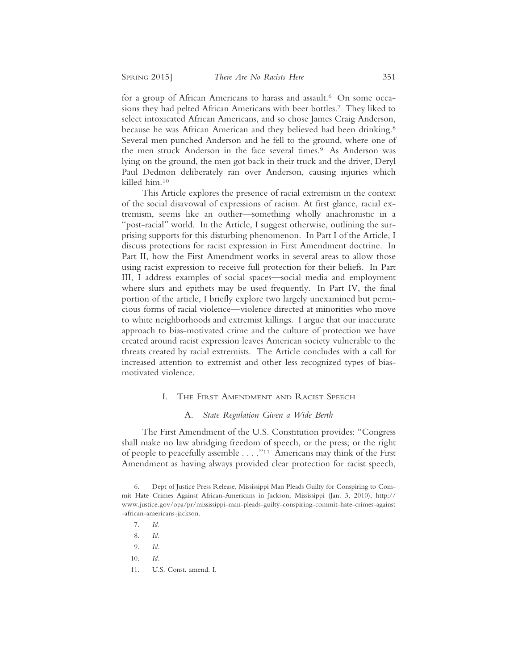for a group of African Americans to harass and assault.<sup>6</sup> On some occasions they had pelted African Americans with beer bottles.7 They liked to select intoxicated African Americans, and so chose James Craig Anderson, because he was African American and they believed had been drinking.<sup>8</sup> Several men punched Anderson and he fell to the ground, where one of the men struck Anderson in the face several times.<sup>9</sup> As Anderson was lying on the ground, the men got back in their truck and the driver, Deryl Paul Dedmon deliberately ran over Anderson, causing injuries which killed him.10

This Article explores the presence of racial extremism in the context of the social disavowal of expressions of racism. At first glance, racial extremism, seems like an outlier—something wholly anachronistic in a "post-racial" world. In the Article, I suggest otherwise, outlining the surprising supports for this disturbing phenomenon. In Part I of the Article, I discuss protections for racist expression in First Amendment doctrine. In Part II, how the First Amendment works in several areas to allow those using racist expression to receive full protection for their beliefs. In Part III, I address examples of social spaces—social media and employment where slurs and epithets may be used frequently. In Part IV, the final portion of the article, I briefly explore two largely unexamined but pernicious forms of racial violence—violence directed at minorities who move to white neighborhoods and extremist killings. I argue that our inaccurate approach to bias-motivated crime and the culture of protection we have created around racist expression leaves American society vulnerable to the threats created by racial extremists. The Article concludes with a call for increased attention to extremist and other less recognized types of biasmotivated violence.

#### I. THE FIRST AMENDMENT AND RACIST SPEECH

#### A. *State Regulation Given a Wide Berth*

The First Amendment of the U.S. Constitution provides: "Congress shall make no law abridging freedom of speech, or the press; or the right of people to peacefully assemble . . . ."11 Americans may think of the First Amendment as having always provided clear protection for racist speech,

<sup>6.</sup> Dept of Justice Press Release, Mississippi Man Pleads Guilty for Conspiring to Commit Hate Crimes Against African-Americans in Jackson, Mississippi (Jan. 3, 2010), http:// www.justice.gov/opa/pr/mississippi-man-pleads-guilty-conspiring-commit-hate-crimes-against -african-americans-jackson.

<sup>7.</sup> *Id.*

<sup>8.</sup> *Id.*

<sup>9.</sup> *Id.*

<sup>11.</sup> U.S. Const. amend. I.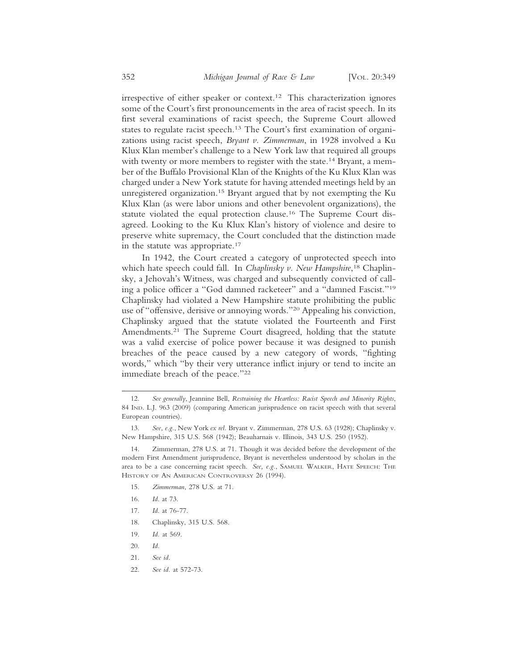irrespective of either speaker or context.12 This characterization ignores some of the Court's first pronouncements in the area of racist speech. In its first several examinations of racist speech, the Supreme Court allowed states to regulate racist speech.<sup>13</sup> The Court's first examination of organizations using racist speech, *Bryant v. Zimmerman*, in 1928 involved a Ku Klux Klan member's challenge to a New York law that required all groups with twenty or more members to register with the state.<sup>14</sup> Bryant, a member of the Buffalo Provisional Klan of the Knights of the Ku Klux Klan was charged under a New York statute for having attended meetings held by an unregistered organization.15 Bryant argued that by not exempting the Ku Klux Klan (as were labor unions and other benevolent organizations), the statute violated the equal protection clause.16 The Supreme Court disagreed. Looking to the Ku Klux Klan's history of violence and desire to preserve white supremacy, the Court concluded that the distinction made in the statute was appropriate.17

In 1942, the Court created a category of unprotected speech into which hate speech could fall. In *Chaplinsky v. New Hampshire*, 18 Chaplinsky, a Jehovah's Witness, was charged and subsequently convicted of calling a police officer a "God damned racketeer" and a "damned Fascist."19 Chaplinsky had violated a New Hampshire statute prohibiting the public use of "offensive, derisive or annoying words."20 Appealing his conviction, Chaplinsky argued that the statute violated the Fourteenth and First Amendments.<sup>21</sup> The Supreme Court disagreed, holding that the statute was a valid exercise of police power because it was designed to punish breaches of the peace caused by a new category of words, "fighting words," which "by their very utterance inflict injury or tend to incite an immediate breach of the peace."22

- 15. *Zimmerman*, 278 U.S. at 71.
- 16. *Id*. at 73.
- 17. *Id*. at 76-77.
- 18. Chaplinsky, 315 U.S. 568.
- 19. *Id.* at 569.
- 20. *Id.*
- 21. *See id.*
- 22. *See id.* at 572-73.

<sup>12.</sup> *See generally*, Jeannine Bell, *Restraining the Heartless: Racist Speech and Minority Rights*, 84 IND. L.J. 963 (2009) (comparing American jurisprudence on racist speech with that several European countries).

<sup>13.</sup> *See*, *e.g.*, New York *ex rel.* Bryant v. Zimmerman, 278 U.S. 63 (1928); Chaplinsky v. New Hampshire, 315 U.S. 568 (1942); Beauharnais v. Illinois, 343 U.S. 250 (1952).

<sup>14.</sup> Zimmerman, 278 U.S. at 71. Though it was decided before the development of the modern First Amendment jurisprudence, Bryant is nevertheless understood by scholars in the area to be a case concerning racist speech. *See, e.g.*, SAMUEL WALKER, HATE SPEECH: THE HISTORY OF AN AMERICAN CONTROVERSY 26 (1994).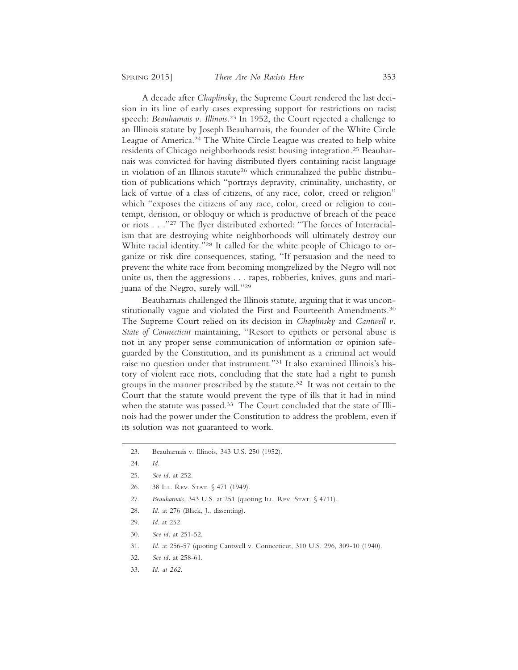A decade after *Chaplinsky*, the Supreme Court rendered the last decision in its line of early cases expressing support for restrictions on racist speech: *Beauharnais v. Illinois*. 23 In 1952, the Court rejected a challenge to an Illinois statute by Joseph Beauharnais, the founder of the White Circle League of America.24 The White Circle League was created to help white residents of Chicago neighborhoods resist housing integration.25 Beauharnais was convicted for having distributed flyers containing racist language in violation of an Illinois statute<sup>26</sup> which criminalized the public distribution of publications which "portrays depravity, criminality, unchastity, or lack of virtue of a class of citizens, of any race, color, creed or religion" which "exposes the citizens of any race, color, creed or religion to contempt, derision, or obloquy or which is productive of breach of the peace or riots . . ."27 The flyer distributed exhorted: "The forces of Interracialism that are destroying white neighborhoods will ultimately destroy our White racial identity."28 It called for the white people of Chicago to organize or risk dire consequences, stating, "If persuasion and the need to prevent the white race from becoming mongrelized by the Negro will not unite us, then the aggressions . . . rapes, robberies, knives, guns and marijuana of the Negro, surely will."29

Beauharnais challenged the Illinois statute, arguing that it was unconstitutionally vague and violated the First and Fourteenth Amendments.<sup>30</sup> The Supreme Court relied on its decision in *Chaplinsky* and *Cantwell v. State of Connecticut* maintaining, "Resort to epithets or personal abuse is not in any proper sense communication of information or opinion safeguarded by the Constitution, and its punishment as a criminal act would raise no question under that instrument."31 It also examined Illinois's history of violent race riots, concluding that the state had a right to punish groups in the manner proscribed by the statute.32 It was not certain to the Court that the statute would prevent the type of ills that it had in mind when the statute was passed.<sup>33</sup> The Court concluded that the state of Illinois had the power under the Constitution to address the problem, even if its solution was not guaranteed to work.

- 26. 38 ILL. REV. STAT. § 471 (1949).
- 27. *Beauharnais*, 343 U.S. at 251 (quoting ILL. REV. STAT. § 4711).
- 28. *Id.* at 276 (Black, J., dissenting).
- 29. *Id*. at 252.
- 30. *See id.* at 251-52.
- 31. *Id.* at 256-57 (quoting Cantwell v. Connecticut, 310 U.S. 296, 309-10 (1940).
- 32. *See id.* at 258-61.
- 33. *Id. at 262.*

<sup>23.</sup> Beauharnais v. Illinois, 343 U.S. 250 (1952).

<sup>24.</sup> *Id.*

<sup>25.</sup> *See id.* at 252.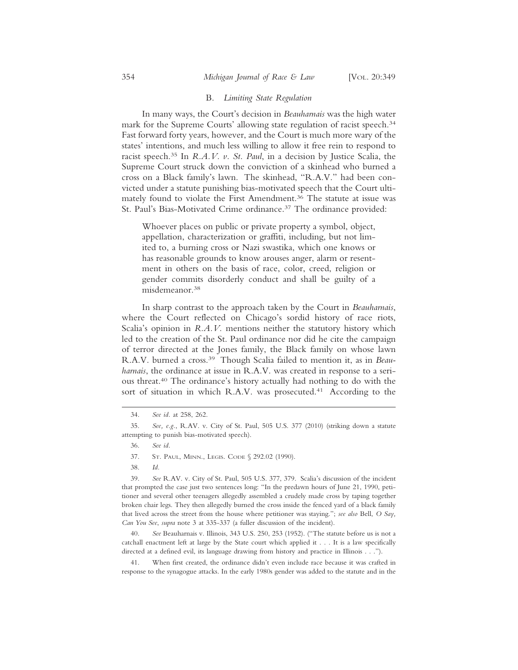#### B. *Limiting State Regulation*

In many ways, the Court's decision in *Beauharnais* was the high water mark for the Supreme Courts' allowing state regulation of racist speech.<sup>34</sup> Fast forward forty years, however, and the Court is much more wary of the states' intentions, and much less willing to allow it free rein to respond to racist speech.35 In *R.A.V. v. St. Paul*, in a decision by Justice Scalia, the Supreme Court struck down the conviction of a skinhead who burned a cross on a Black family's lawn. The skinhead, "R.A.V." had been convicted under a statute punishing bias-motivated speech that the Court ultimately found to violate the First Amendment.36 The statute at issue was St. Paul's Bias-Motivated Crime ordinance.37 The ordinance provided:

Whoever places on public or private property a symbol, object, appellation, characterization or graffiti, including, but not limited to, a burning cross or Nazi swastika, which one knows or has reasonable grounds to know arouses anger, alarm or resentment in others on the basis of race, color, creed, religion or gender commits disorderly conduct and shall be guilty of a misdemeanor.38

In sharp contrast to the approach taken by the Court in *Beauharnais*, where the Court reflected on Chicago's sordid history of race riots, Scalia's opinion in *R.A.V.* mentions neither the statutory history which led to the creation of the St. Paul ordinance nor did he cite the campaign of terror directed at the Jones family, the Black family on whose lawn R.A.V. burned a cross.39 Though Scalia failed to mention it, as in *Beauharnais*, the ordinance at issue in R.A.V. was created in response to a serious threat.40 The ordinance's history actually had nothing to do with the sort of situation in which R.A.V. was prosecuted.<sup>41</sup> According to the

38. *Id.*

39. *See* R.AV. v. City of St. Paul, 505 U.S. 377, 379. Scalia's discussion of the incident that prompted the case just two sentences long: "In the predawn hours of June 21, 1990, petitioner and several other teenagers allegedly assembled a crudely made cross by taping together broken chair legs. They then allegedly burned the cross inside the fenced yard of a black family that lived across the street from the house where petitioner was staying."; *see also* Bell, *O Say, Can You See*, *supra* note 3 at 335-337 (a fuller discussion of the incident).

40. *See* Beauharnais v. Illinois, 343 U.S. 250, 253 (1952). ("The statute before us is not a catchall enactment left at large by the State court which applied it . . . It is a law specifically directed at a defined evil, its language drawing from history and practice in Illinois . . .").

When first created, the ordinance didn't even include race because it was crafted in response to the synagogue attacks. In the early 1980s gender was added to the statute and in the

<sup>34.</sup> *See id.* at 258, 262.

<sup>35.</sup> *See, e.g.*, R.AV. v. City of St. Paul, 505 U.S. 377 (2010) (striking down a statute attempting to punish bias-motivated speech).

<sup>36.</sup> *See id.*

<sup>37.</sup> ST. PAUL, MINN., LEGIS. CODE § 292.02 (1990).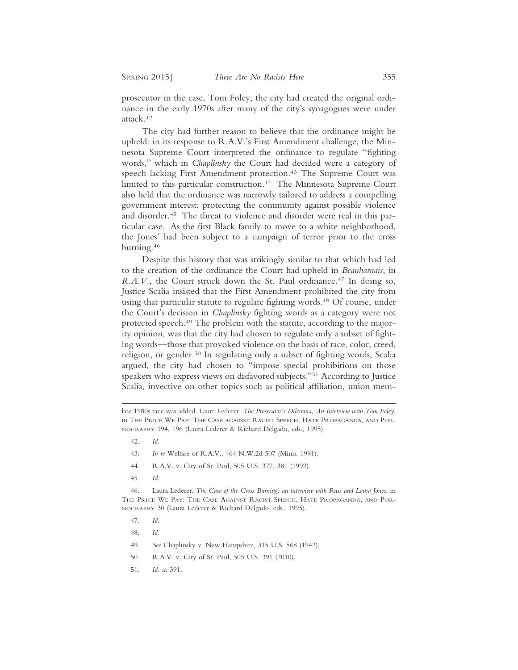prosecutor in the case, Tom Foley, the city had created the original ordinance in the early 1970s after many of the city's synagogues were under attack.42

The city had further reason to believe that the ordinance might be upheld: in its response to R.A.V.'s First Amendment challenge, the Minnesota Supreme Court interpreted the ordinance to regulate "fighting words," which in *Chaplinsky* the Court had decided were a category of speech lacking First Amendment protection.<sup>43</sup> The Supreme Court was limited to this particular construction.<sup>44</sup> The Minnesota Supreme Court also held that the ordinance was narrowly tailored to address a compelling government interest: protecting the community against possible violence and disorder.45 The threat to violence and disorder were real in this particular case. As the first Black family to move to a white neighborhood, the Jones' had been subject to a campaign of terror prior to the cross burning.46

Despite this history that was strikingly similar to that which had led to the creation of the ordinance the Court had upheld in *Beauharnais*, in *R.A.V.*, the Court struck down the St. Paul ordinance.<sup>47</sup> In doing so, Justice Scalia insisted that the First Amendment prohibited the city from using that particular statute to regulate fighting words.<sup>48</sup> Of course, under the Court's decision in *Chaplinsky* fighting words as a category were not protected speech.49 The problem with the statute, according to the majority opinion, was that the city had chosen to regulate only a subset of fighting words—those that provoked violence on the basis of race, color, creed, religion, or gender.50 In regulating only a subset of fighting words, Scalia argued, the city had chosen to "impose special prohibitions on those speakers who express views on disfavored subjects."51 According to Justice Scalia, invective on other topics such as political affiliation, union mem-

- 42. *Id.*
- 43. *In re* Welfare of R.A.V., 464 N.W.2d 507 (Minn. 1991).
- 44. R.A.V. v. City of St. Paul, 505 U.S. 377, 381 (1992).
- 45. *Id.*

46. Laura Lederer, *The Case of the Cross Burning: an interview with Russ and Laura Jones*, in THE PRICE WE PAY: THE CASE AGAINST RACIST SPEECH, HATE PROPAGANDA, AND POR-NOGRAPHY 30 (Laura Lederer & Richard Delgado, eds., 1995).

- 47. *Id.*
- 48. *Id.*
- 49. *See* Chaplinsky v. New Hampshire, 315 U.S. 568 (1942).
- 50. R.A.V. v. City of St. Paul, 505 U.S. 391 (2010).
- 51. *Id.* at 391.

late 1980s race was added. Laura Lederer, *The Prosecutor's Dilemma, An Interview with Tom Foley*, in THE PRICE WE PAY: THE CASE AGAINST RACIST SPEECH, HATE PROPAGANDA, AND POR-NOGRAPHY 194, 196 (Laura Lederer & Richard Delgado, eds., 1995).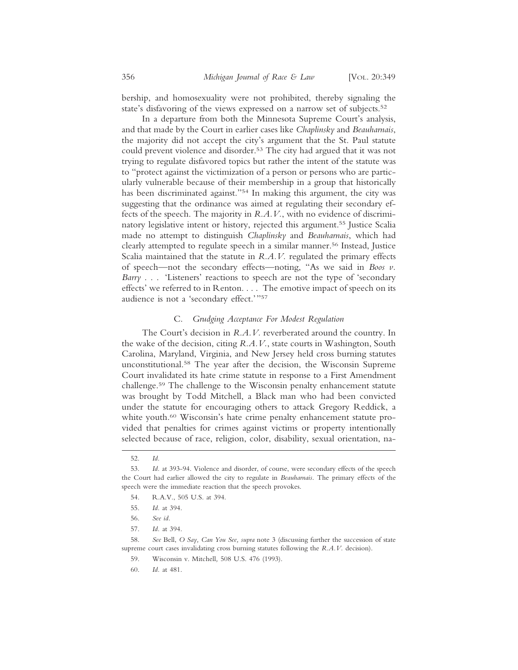bership, and homosexuality were not prohibited, thereby signaling the state's disfavoring of the views expressed on a narrow set of subjects.<sup>52</sup>

In a departure from both the Minnesota Supreme Court's analysis, and that made by the Court in earlier cases like *Chaplinsky* and *Beauharnais*, the majority did not accept the city's argument that the St. Paul statute could prevent violence and disorder.<sup>53</sup> The city had argued that it was not trying to regulate disfavored topics but rather the intent of the statute was to "protect against the victimization of a person or persons who are particularly vulnerable because of their membership in a group that historically has been discriminated against."54 In making this argument, the city was suggesting that the ordinance was aimed at regulating their secondary effects of the speech. The majority in *R.A.V.*, with no evidence of discriminatory legislative intent or history, rejected this argument.55 Justice Scalia made no attempt to distinguish *Chaplinsky* and *Beauharnais*, which had clearly attempted to regulate speech in a similar manner.56 Instead, Justice Scalia maintained that the statute in *R.A.V.* regulated the primary effects of speech—not the secondary effects—noting, "As we said in *Boos v. Barry* . . . 'Listeners' reactions to speech are not the type of 'secondary effects' we referred to in Renton. . . . The emotive impact of speech on its audience is not a 'secondary effect.'"57

#### C. *Grudging Acceptance For Modest Regulation*

The Court's decision in *R.A.V.* reverberated around the country. In the wake of the decision, citing *R.A.V.*, state courts in Washington, South Carolina, Maryland, Virginia, and New Jersey held cross burning statutes unconstitutional.58 The year after the decision, the Wisconsin Supreme Court invalidated its hate crime statute in response to a First Amendment challenge.59 The challenge to the Wisconsin penalty enhancement statute was brought by Todd Mitchell, a Black man who had been convicted under the statute for encouraging others to attack Gregory Reddick, a white youth.<sup>60</sup> Wisconsin's hate crime penalty enhancement statute provided that penalties for crimes against victims or property intentionally selected because of race, religion, color, disability, sexual orientation, na-

60. *Id.* at 481.

<sup>52.</sup> *Id.*

<sup>53.</sup> *Id.* at 393-94. Violence and disorder, of course, were secondary effects of the speech the Court had earlier allowed the city to regulate in *Beauharnais*. The primary effects of the speech were the immediate reaction that the speech provokes.

<sup>54.</sup> R.A.V., 505 U.S. at 394.

<sup>55.</sup> *Id.* at 394.

<sup>56.</sup> *See id.*

<sup>57.</sup> *Id.* at 394.

<sup>58.</sup> *See* Bell, *O Say, Can You See, supra* note 3 (discussing further the succession of state supreme court cases invalidating cross burning statutes following the *R.A.V.* decision).

<sup>59.</sup> Wisconsin v. Mitchell*,* 508 U.S. 476 (1993).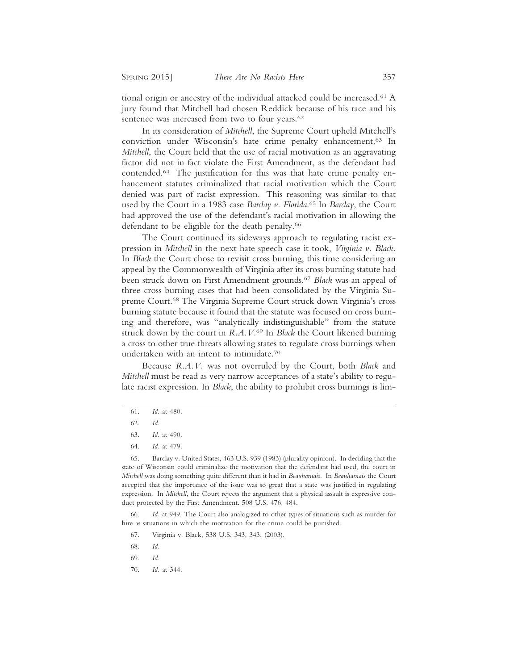tional origin or ancestry of the individual attacked could be increased.<sup>61</sup> A jury found that Mitchell had chosen Reddick because of his race and his sentence was increased from two to four years.<sup>62</sup>

In its consideration of *Mitchell*, the Supreme Court upheld Mitchell's conviction under Wisconsin's hate crime penalty enhancement.63 In *Mitchell*, the Court held that the use of racial motivation as an aggravating factor did not in fact violate the First Amendment, as the defendant had contended.64 The justification for this was that hate crime penalty enhancement statutes criminalized that racial motivation which the Court denied was part of racist expression. This reasoning was similar to that used by the Court in a 1983 case *Barclay v. Florida*. 65 In *Barclay*, the Court had approved the use of the defendant's racial motivation in allowing the defendant to be eligible for the death penalty.<sup>66</sup>

The Court continued its sideways approach to regulating racist expression in *Mitchell* in the next hate speech case it took, *Virginia v. Black*. In *Black* the Court chose to revisit cross burning, this time considering an appeal by the Commonwealth of Virginia after its cross burning statute had been struck down on First Amendment grounds.67 *Black* was an appeal of three cross burning cases that had been consolidated by the Virginia Supreme Court.68 The Virginia Supreme Court struck down Virginia's cross burning statute because it found that the statute was focused on cross burning and therefore, was "analytically indistinguishable" from the statute struck down by the court in *R.A.V.*69 In *Black* the Court likened burning a cross to other true threats allowing states to regulate cross burnings when undertaken with an intent to intimidate.70

Because *R.A.V.* was not overruled by the Court, both *Black* and *Mitchell* must be read as very narrow acceptances of a state's ability to regulate racist expression. In *Black*, the ability to prohibit cross burnings is lim-

66. *Id.* at 949. The Court also analogized to other types of situations such as murder for hire as situations in which the motivation for the crime could be punished.

- 67. Virginia v. Black, 538 U.S. 343, 343. (2003).
- 68. *Id.*
- 69. *Id.*
- 70. *Id.* at 344.

<sup>61.</sup> *Id.* at 480.

<sup>62.</sup> *Id.*

<sup>63.</sup> *Id.* at 490.

<sup>64.</sup> *Id.* at 479.

<sup>65.</sup> Barclay v. United States, 463 U.S. 939 (1983) (plurality opinion). In deciding that the state of Wisconsin could criminalize the motivation that the defendant had used, the court in *Mitchell* was doing something quite different than it had in *Beauharnais*. In *Beauharnais* the Court accepted that the importance of the issue was so great that a state was justified in regulating expression. In *Mitchell*, the Court rejects the argument that a physical assault is expressive conduct protected by the First Amendment. 508 U.S. 476. 484.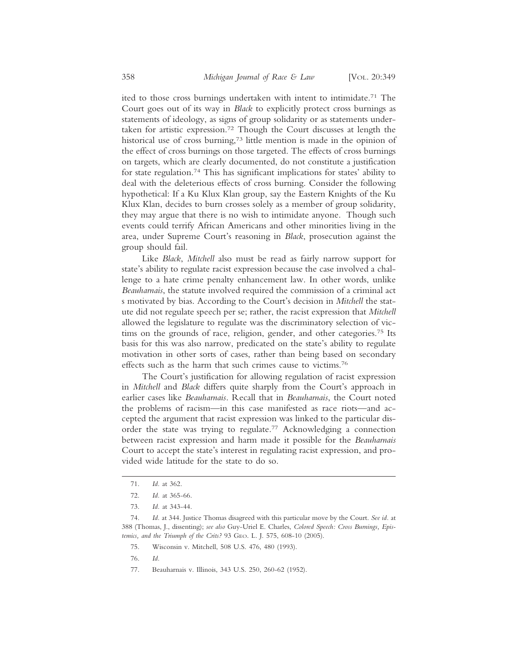ited to those cross burnings undertaken with intent to intimidate.71 The Court goes out of its way in *Black* to explicitly protect cross burnings as statements of ideology, as signs of group solidarity or as statements undertaken for artistic expression.72 Though the Court discusses at length the historical use of cross burning,<sup>73</sup> little mention is made in the opinion of the effect of cross burnings on those targeted. The effects of cross burnings on targets, which are clearly documented, do not constitute a justification for state regulation.74 This has significant implications for states' ability to deal with the deleterious effects of cross burning. Consider the following hypothetical: If a Ku Klux Klan group, say the Eastern Knights of the Ku Klux Klan, decides to burn crosses solely as a member of group solidarity, they may argue that there is no wish to intimidate anyone. Though such events could terrify African Americans and other minorities living in the area, under Supreme Court's reasoning in *Black*, prosecution against the group should fail.

Like *Black*, *Mitchell* also must be read as fairly narrow support for state's ability to regulate racist expression because the case involved a challenge to a hate crime penalty enhancement law. In other words, unlike *Beauharnais*, the statute involved required the commission of a criminal act s motivated by bias. According to the Court's decision in *Mitchell* the statute did not regulate speech per se; rather, the racist expression that *Mitchell* allowed the legislature to regulate was the discriminatory selection of victims on the grounds of race, religion, gender, and other categories.75 Its basis for this was also narrow, predicated on the state's ability to regulate motivation in other sorts of cases, rather than being based on secondary effects such as the harm that such crimes cause to victims.76

The Court's justification for allowing regulation of racist expression in *Mitchell* and *Black* differs quite sharply from the Court's approach in earlier cases like *Beauharnais*. Recall that in *Beauharnais*, the Court noted the problems of racism—in this case manifested as race riots—and accepted the argument that racist expression was linked to the particular disorder the state was trying to regulate.77 Acknowledging a connection between racist expression and harm made it possible for the *Beauharnais* Court to accept the state's interest in regulating racist expression, and provided wide latitude for the state to do so.

- 76. *Id.*
- 77. Beauharnais v. Illinois, 343 U.S. 250, 260-62 (1952).

<sup>71.</sup> *Id.* at 362.

<sup>72.</sup> *Id.* at 365-66.

<sup>73.</sup> *Id.* at 343-44.

<sup>74.</sup> *Id.* at 344. Justice Thomas disagreed with this particular move by the Court. *See id.* at 388 (Thomas, J., dissenting); *see also* Guy-Uriel E. Charles, *Colored Speech: Cross Burnings, Epistemics, and the Triumph of the Crits?* 93 GEO. L. J. 575, 608-10 (2005).

<sup>75.</sup> Wisconsin v. Mitchell, 508 U.S. 476, 480 (1993).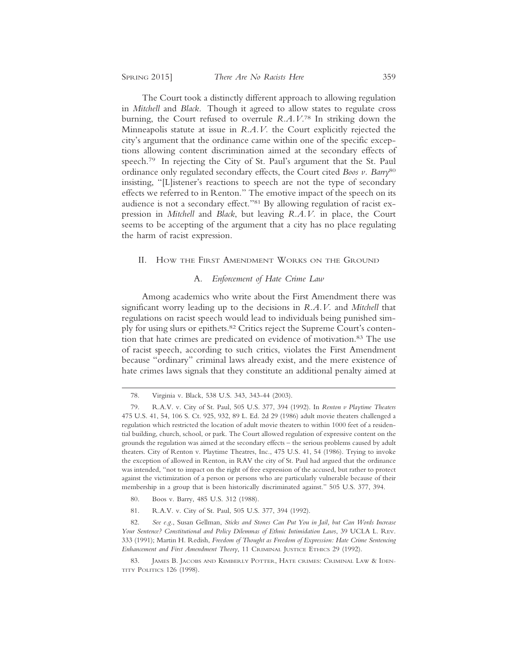The Court took a distinctly different approach to allowing regulation in *Mitchell* and *Black*. Though it agreed to allow states to regulate cross burning, the Court refused to overrule *R.A.V*. 78 In striking down the Minneapolis statute at issue in *R.A.V.* the Court explicitly rejected the city's argument that the ordinance came within one of the specific exceptions allowing content discrimination aimed at the secondary effects of speech.79 In rejecting the City of St. Paul's argument that the St. Paul ordinance only regulated secondary effects, the Court cited *Boos v. Barry*<sup>80</sup> insisting, "[L]istener's reactions to speech are not the type of secondary effects we referred to in Renton." The emotive impact of the speech on its audience is not a secondary effect."81 By allowing regulation of racist expression in *Mitchell* and *Black*, but leaving *R.A.V.* in place, the Court seems to be accepting of the argument that a city has no place regulating the harm of racist expression.

#### II. HOW THE FIRST AMENDMENT WORKS ON THE GROUND

#### A. *Enforcement of Hate Crime Law*

Among academics who write about the First Amendment there was significant worry leading up to the decisions in *R.A.V.* and *Mitchell* that regulations on racist speech would lead to individuals being punished simply for using slurs or epithets.82 Critics reject the Supreme Court's contention that hate crimes are predicated on evidence of motivation.<sup>83</sup> The use of racist speech, according to such critics, violates the First Amendment because "ordinary" criminal laws already exist, and the mere existence of hate crimes laws signals that they constitute an additional penalty aimed at

- 80. Boos v. Barry, 485 U.S. 312 (1988).
- 81. R.A.V. v. City of St. Paul, 505 U.S. 377, 394 (1992).

82. *See e.g*., Susan Gellman, *Sticks and Stones Can Put You in Jail, but Can Words Increase Your Sentence? Constitutional and Policy Dilemmas of Ethnic Intimidation Laws*, 39 UCLA L. REV. 333 (1991); Martin H. Redish, *Freedom of Thought as Freedom of Expression: Hate Crime Sentencing Enhancement and First Amendment Theory*, 11 CRIMINAL JUSTICE ETHICS 29 (1992).

<sup>78.</sup> Virginia v. Black, 538 U.S. 343, 343-44 (2003).

<sup>79.</sup> R.A.V. v. City of St. Paul, 505 U.S. 377, 394 (1992). In *Renton v Playtime Theaters* 475 U.S. 41, 54, 106 S. Ct. 925, 932, 89 L. Ed. 2d 29 (1986) adult movie theaters challenged a regulation which restricted the location of adult movie theaters to within 1000 feet of a residential building, church, school, or park. The Court allowed regulation of expressive content on the grounds the regulation was aimed at the secondary effects – the serious problems caused by adult theaters. City of Renton v. Playtime Theatres, Inc., 475 U.S. 41, 54 (1986). Trying to invoke the exception of allowed in Renton, in RAV the city of St. Paul had argued that the ordinance was intended, "not to impact on the right of free expression of the accused, but rather to protect against the victimization of a person or persons who are particularly vulnerable because of their membership in a group that is been historically discriminated against." 505 U.S. 377, 394.

<sup>83.</sup> JAMES B. JACOBS AND KIMBERLY POTTER, HATE CRIMES: CRIMINAL LAW & IDEN-TITY POLITICS 126 (1998).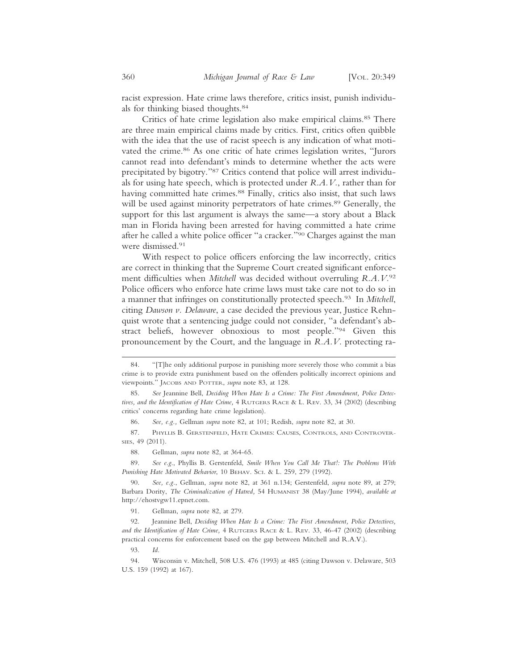racist expression. Hate crime laws therefore, critics insist, punish individuals for thinking biased thoughts.84

Critics of hate crime legislation also make empirical claims.85 There are three main empirical claims made by critics. First, critics often quibble with the idea that the use of racist speech is any indication of what motivated the crime.<sup>86</sup> As one critic of hate crimes legislation writes, "Jurors" cannot read into defendant's minds to determine whether the acts were precipitated by bigotry."87 Critics contend that police will arrest individuals for using hate speech, which is protected under *R.A.V.*, rather than for having committed hate crimes.<sup>88</sup> Finally, critics also insist, that such laws will be used against minority perpetrators of hate crimes.<sup>89</sup> Generally, the support for this last argument is always the same—a story about a Black man in Florida having been arrested for having committed a hate crime after he called a white police officer "a cracker."90 Charges against the man were dismissed.91

With respect to police officers enforcing the law incorrectly, critics are correct in thinking that the Supreme Court created significant enforcement difficulties when *Mitchell* was decided without overruling *R.A.V.*<sup>92</sup> Police officers who enforce hate crime laws must take care not to do so in a manner that infringes on constitutionally protected speech.93 In *Mitchell*, citing *Dawson v. Delaware*, a case decided the previous year, Justice Rehnquist wrote that a sentencing judge could not consider, "a defendant's abstract beliefs, however obnoxious to most people."94 Given this pronouncement by the Court, and the language in *R.A.V.* protecting ra-

89. *See e.g*., Phyllis B. Gerstenfeld, *Smile When You Call Me That!: The Problems With Punishing Hate Motivated Behavior*, 10 BEHAV. SCI. & L. 259, 279 (1992).

90. *See, e.g.*, Gellman, *supra* note 82, at 361 n.134; Gerstenfeld, *supra* note 89, at 279; Barbara Dority, *The Criminalization of Hatred,* 54 HUMANIST 38 (May/June 1994), *available at* http://ehostvgw11.epnet.com.

91. Gellman, *supra* note 82, at 279.

92. Jeannine Bell, *Deciding When Hate Is a Crime: The First Amendment, Police Detectives, and the Identification of Hate Crime,* 4 RUTGERS RACE & L. REV. 33, 46-47 (2002) (describing practical concerns for enforcement based on the gap between Mitchell and R.A.V.).

<sup>84. &</sup>quot;[T]he only additional purpose in punishing more severely those who commit a bias crime is to provide extra punishment based on the offenders politically incorrect opinions and viewpoints." JACOBS AND POTTER, *supra* note 83, at 128.

<sup>85.</sup> *See* Jeannine Bell, *Deciding When Hate Is a Crime: The First Amendment, Police Detectives, and the Identification of Hate Crime,* 4 RUTGERS RACE & L. REV. 33, 34 (2002) (describing critics' concerns regarding hate crime legislation).

<sup>86.</sup> *See, e.g.,* Gellman *supra* note 82, at 101; Redish, *supra* note 82, at 30.

<sup>87.</sup> PHYLLIS B. GERSTENFELD, HATE CRIMES: CAUSES, CONTROLS, AND CONTROVER-SIES, 49 (2011).

<sup>88.</sup> Gellman, *supra* note 82, at 364-65.

<sup>94.</sup> Wisconsin v. Mitchell*,* 508 U.S. 476 (1993) at 485 (citing Dawson v. Delaware, 503 U.S. 159 (1992) at 167).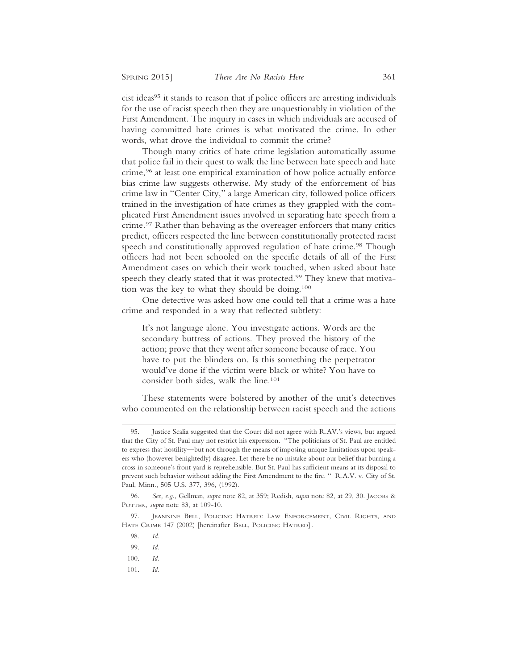cist ideas<sup>95</sup> it stands to reason that if police officers are arresting individuals for the use of racist speech then they are unquestionably in violation of the First Amendment. The inquiry in cases in which individuals are accused of having committed hate crimes is what motivated the crime. In other words, what drove the individual to commit the crime?

Though many critics of hate crime legislation automatically assume that police fail in their quest to walk the line between hate speech and hate crime,96 at least one empirical examination of how police actually enforce bias crime law suggests otherwise. My study of the enforcement of bias crime law in "Center City," a large American city, followed police officers trained in the investigation of hate crimes as they grappled with the complicated First Amendment issues involved in separating hate speech from a crime.97 Rather than behaving as the overeager enforcers that many critics predict, officers respected the line between constitutionally protected racist speech and constitutionally approved regulation of hate crime.<sup>98</sup> Though officers had not been schooled on the specific details of all of the First Amendment cases on which their work touched, when asked about hate speech they clearly stated that it was protected.<sup>99</sup> They knew that motivation was the key to what they should be doing.100

One detective was asked how one could tell that a crime was a hate crime and responded in a way that reflected subtlety:

It's not language alone. You investigate actions. Words are the secondary buttress of actions. They proved the history of the action; prove that they went after someone because of race. You have to put the blinders on. Is this something the perpetrator would've done if the victim were black or white? You have to consider both sides, walk the line.101

These statements were bolstered by another of the unit's detectives who commented on the relationship between racist speech and the actions

- 100. *Id.*
- 101. *Id.*

<sup>95.</sup> Justice Scalia suggested that the Court did not agree with R.AV.'s views, but argued that the City of St. Paul may not restrict his expression. "The politicians of St. Paul are entitled to express that hostility—but not through the means of imposing unique limitations upon speakers who (however benightedly) disagree. Let there be no mistake about our belief that burning a cross in someone's front yard is reprehensible. But St. Paul has sufficient means at its disposal to prevent such behavior without adding the First Amendment to the fire. " R.A.V. v. City of St. Paul, Minn., 505 U.S. 377, 396, (1992).

<sup>96.</sup> *See, e.g*., Gellman, *supra* note 82, at 359; Redish, *supra* note 82, at 29, 30. JACOBS & POTTER, *supra* note 83, at 109-10.

<sup>97.</sup> JEANNINE BELL, POLICING HATRED: LAW ENFORCEMENT, CIVIL RIGHTS, AND HATE CRIME 147 (2002) [hereinafter BELL, POLICING HATRED] .

<sup>98.</sup> *Id.*

<sup>99.</sup> *Id.*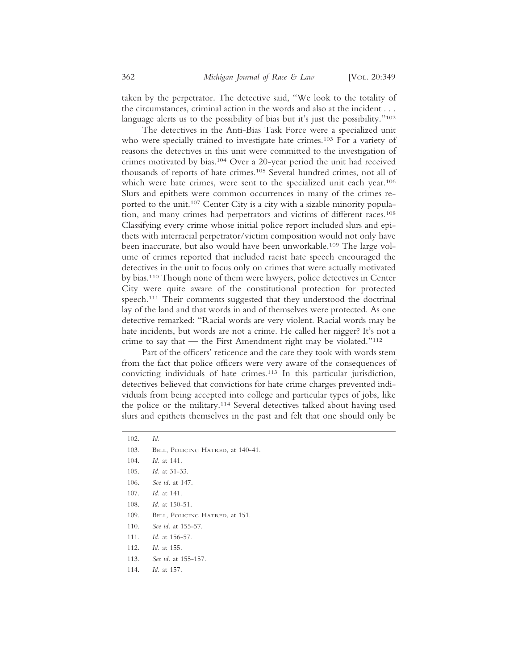taken by the perpetrator. The detective said, "We look to the totality of the circumstances, criminal action in the words and also at the incident . . . language alerts us to the possibility of bias but it's just the possibility."<sup>102</sup>

The detectives in the Anti-Bias Task Force were a specialized unit who were specially trained to investigate hate crimes.<sup>103</sup> For a variety of reasons the detectives in this unit were committed to the investigation of crimes motivated by bias.104 Over a 20-year period the unit had received thousands of reports of hate crimes.105 Several hundred crimes, not all of which were hate crimes, were sent to the specialized unit each year.<sup>106</sup> Slurs and epithets were common occurrences in many of the crimes reported to the unit.<sup>107</sup> Center City is a city with a sizable minority population, and many crimes had perpetrators and victims of different races.108 Classifying every crime whose initial police report included slurs and epithets with interracial perpetrator/victim composition would not only have been inaccurate, but also would have been unworkable.<sup>109</sup> The large volume of crimes reported that included racist hate speech encouraged the detectives in the unit to focus only on crimes that were actually motivated by bias.110 Though none of them were lawyers, police detectives in Center City were quite aware of the constitutional protection for protected speech.<sup>111</sup> Their comments suggested that they understood the doctrinal lay of the land and that words in and of themselves were protected. As one detective remarked: "Racial words are very violent. Racial words may be hate incidents, but words are not a crime. He called her nigger? It's not a crime to say that — the First Amendment right may be violated." $112$ 

Part of the officers' reticence and the care they took with words stem from the fact that police officers were very aware of the consequences of convicting individuals of hate crimes.113 In this particular jurisdiction, detectives believed that convictions for hate crime charges prevented individuals from being accepted into college and particular types of jobs, like the police or the military.114 Several detectives talked about having used slurs and epithets themselves in the past and felt that one should only be

- 103. BELL, POLICING HATRED, at 140-41.
- 104. *Id.* at 141.
- 105. *Id.* at 31-33.
- 106. *See id.* at 147.
- 107. *Id.* at 141.
- 108. *Id.* at 150-51.
- 109. BELL, POLICING HATRED, at 151.
- 110. *See id.* at 155-57.
- 111. *Id.* at 156-57.
- 112. *Id.* at 155.
- 113. *See id.* at 155-157.
- 114. *Id.* at 157.

<sup>102.</sup> *Id.*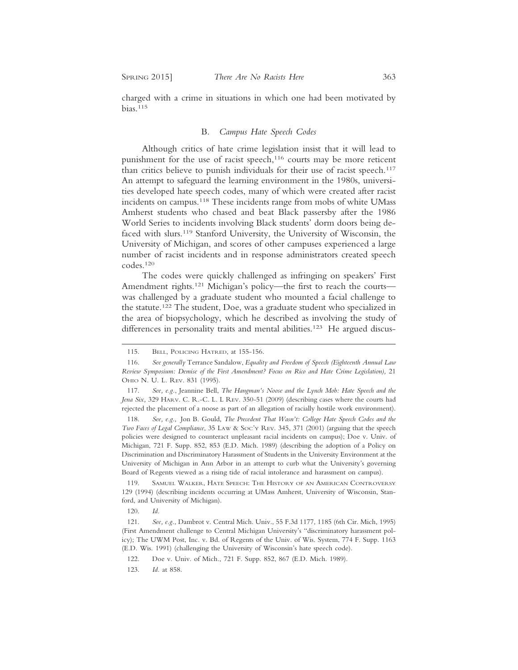charged with a crime in situations in which one had been motivated by bias.115

#### B. *Campus Hate Speech Codes*

Although critics of hate crime legislation insist that it will lead to punishment for the use of racist speech, $116$  courts may be more reticent than critics believe to punish individuals for their use of racist speech.<sup>117</sup> An attempt to safeguard the learning environment in the 1980s, universities developed hate speech codes, many of which were created after racist incidents on campus.<sup>118</sup> These incidents range from mobs of white UMass Amherst students who chased and beat Black passersby after the 1986 World Series to incidents involving Black students' dorm doors being defaced with slurs.<sup>119</sup> Stanford University, the University of Wisconsin, the University of Michigan, and scores of other campuses experienced a large number of racist incidents and in response administrators created speech codes.120

The codes were quickly challenged as infringing on speakers' First Amendment rights.<sup>121</sup> Michigan's policy—the first to reach the courts was challenged by a graduate student who mounted a facial challenge to the statute.122 The student, Doe, was a graduate student who specialized in the area of biopsychology, which he described as involving the study of differences in personality traits and mental abilities.<sup>123</sup> He argued discus-

<sup>115.</sup> BELL, POLICING HATRED, at 155-156.

<sup>116.</sup> *See generally* Terrance Sandalow, *Equality and Freedom of Speech (Eighteenth Annual Law* Review Symposium: Demise of the First Amendment? Focus on Rico and Hate Crime Legislation), 21 OHIO N. U. L. REV. 831 (1995).

<sup>117.</sup> *See, e.g.*, Jeannine Bell, *The Hangman's Noose and the Lynch Mob: Hate Speech and the Jena Six,* 329 HARV. C. R.-C. L. L REV. 350-51 (2009) (describing cases where the courts had rejected the placement of a noose as part of an allegation of racially hostile work environment).

<sup>118.</sup> *See, e.g*., Jon B. Gould, *The Precedent That Wasn't: College Hate Speech Codes and the Two Faces of Legal Compliance*, 35 LAW & SOC'Y REV. 345, 371 (2001) (arguing that the speech policies were designed to counteract unpleasant racial incidents on campus); Doe v. Univ. of Michigan, 721 F. Supp. 852, 853 (E.D. Mich. 1989) (describing the adoption of a Policy on Discrimination and Discriminatory Harassment of Students in the University Environment at the University of Michigan in Ann Arbor in an attempt to curb what the University's governing Board of Regents viewed as a rising tide of racial intolerance and harassment on campus).

<sup>119.</sup> SAMUEL WALKER, HATE SPEECH: THE HISTORY OF AN AMERICAN CONTROVERSY 129 (1994) (describing incidents occurring at UMass Amherst, University of Wisconsin, Stanford, and University of Michigan).

<sup>120.</sup> *Id.*

<sup>121.</sup> *See, e.g.*, Dambrot v. Central Mich. Univ., 55 F.3d 1177, 1185 (6th Cir. Mich, 1995) (First Amendment challenge to Central Michigan University's "discriminatory harassment policy); The UWM Post, Inc. v. Bd. of Regents of the Univ. of Wis. System, 774 F. Supp. 1163 (E.D. Wis. 1991) (challenging the University of Wisconsin's hate speech code).

<sup>122.</sup> Doe v. Univ. of Mich., 721 F. Supp. 852, 867 (E.D. Mich. 1989).

<sup>123.</sup> *Id.* at 858.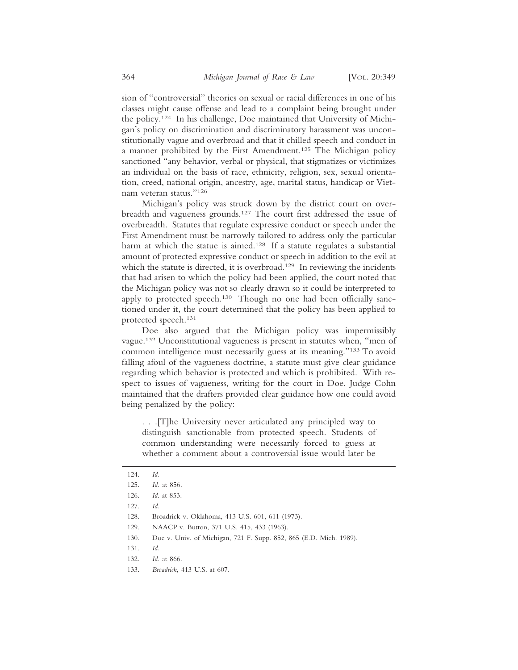sion of "controversial" theories on sexual or racial differences in one of his classes might cause offense and lead to a complaint being brought under the policy.124 In his challenge, Doe maintained that University of Michigan's policy on discrimination and discriminatory harassment was unconstitutionally vague and overbroad and that it chilled speech and conduct in a manner prohibited by the First Amendment.125 The Michigan policy sanctioned "any behavior, verbal or physical, that stigmatizes or victimizes an individual on the basis of race, ethnicity, religion, sex, sexual orientation, creed, national origin, ancestry, age, marital status, handicap or Vietnam veteran status."126

Michigan's policy was struck down by the district court on overbreadth and vagueness grounds.127 The court first addressed the issue of overbreadth. Statutes that regulate expressive conduct or speech under the First Amendment must be narrowly tailored to address only the particular harm at which the statue is aimed.<sup>128</sup> If a statute regulates a substantial amount of protected expressive conduct or speech in addition to the evil at which the statute is directed, it is overbroad.<sup>129</sup> In reviewing the incidents that had arisen to which the policy had been applied, the court noted that the Michigan policy was not so clearly drawn so it could be interpreted to apply to protected speech.<sup>130</sup> Though no one had been officially sanctioned under it, the court determined that the policy has been applied to protected speech.131

Doe also argued that the Michigan policy was impermissibly vague.132 Unconstitutional vagueness is present in statutes when, "men of common intelligence must necessarily guess at its meaning."133 To avoid falling afoul of the vagueness doctrine, a statute must give clear guidance regarding which behavior is protected and which is prohibited. With respect to issues of vagueness, writing for the court in Doe, Judge Cohn maintained that the drafters provided clear guidance how one could avoid being penalized by the policy:

. . .[T]he University never articulated any principled way to distinguish sanctionable from protected speech. Students of common understanding were necessarily forced to guess at whether a comment about a controversial issue would later be

- 129. NAACP v. Button, 371 U.S. 415, 433 (1963).
- 130. Doe v. Univ. of Michigan, 721 F. Supp. 852, 865 (E.D. Mich. 1989).
- 131. *Id.*
- 132. *Id.* at 866.
- 133. *Broadrick*, 413 U.S. at 607.

<sup>124.</sup> *Id.*

<sup>125.</sup> *Id.* at 856.

<sup>126.</sup> *Id*. at 853.

<sup>127.</sup> *Id.*

<sup>128.</sup> Broadrick v. Oklahoma, 413 U.S. 601, 611 (1973).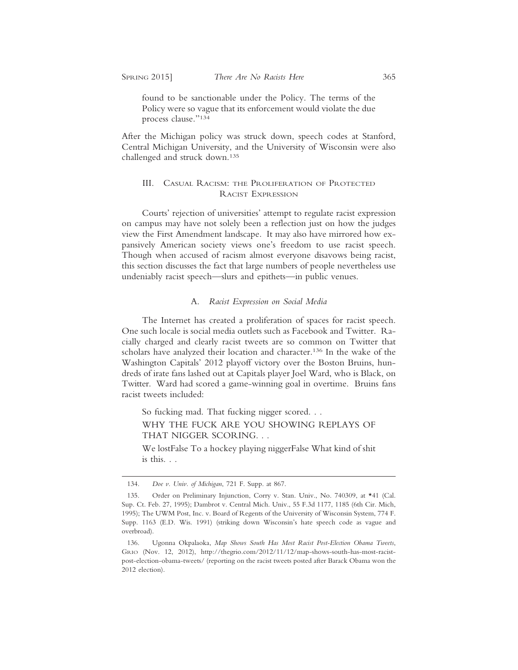found to be sanctionable under the Policy. The terms of the Policy were so vague that its enforcement would violate the due process clause."134

After the Michigan policy was struck down, speech codes at Stanford, Central Michigan University, and the University of Wisconsin were also challenged and struck down.135

### III. CASUAL RACISM: THE PROLIFERATION OF PROTECTED RACIST EXPRESSION

Courts' rejection of universities' attempt to regulate racist expression on campus may have not solely been a reflection just on how the judges view the First Amendment landscape. It may also have mirrored how expansively American society views one's freedom to use racist speech. Though when accused of racism almost everyone disavows being racist, this section discusses the fact that large numbers of people nevertheless use undeniably racist speech—slurs and epithets—in public venues.

#### A. *Racist Expression on Social Media*

The Internet has created a proliferation of spaces for racist speech. One such locale is social media outlets such as Facebook and Twitter. Racially charged and clearly racist tweets are so common on Twitter that scholars have analyzed their location and character.136 In the wake of the Washington Capitals' 2012 playoff victory over the Boston Bruins, hundreds of irate fans lashed out at Capitals player Joel Ward, who is Black, on Twitter. Ward had scored a game-winning goal in overtime. Bruins fans racist tweets included:

So fucking mad. That fucking nigger scored. . .

WHY THE FUCK ARE YOU SHOWING REPLAYS OF THAT NIGGER SCORING. . .

We lostFalse To a hockey playing niggerFalse What kind of shit is this. . .

<sup>134.</sup> *Doe v. Univ. of Michigan*, 721 F. Supp. at 867.

<sup>135.</sup> Order on Preliminary Injunction, Corry v. Stan. Univ., No. 740309, at \*41 (Cal. Sup. Ct. Feb. 27, 1995); Dambrot v. Central Mich. Univ., 55 F.3d 1177, 1185 (6th Cir. Mich, 1995); The UWM Post, Inc. v. Board of Regents of the University of Wisconsin System, 774 F. Supp. 1163 (E.D. Wis. 1991) (striking down Wisconsin's hate speech code as vague and overbroad).

<sup>136.</sup> Ugonna Okpalaoka, *Map Shows South Has Most Racist Post-Election Obama Tweets*, GRIO (Nov. 12, 2012), http://thegrio.com/2012/11/12/map-shows-south-has-most-racistpost-election-obama-tweets/ (reporting on the racist tweets posted after Barack Obama won the 2012 election).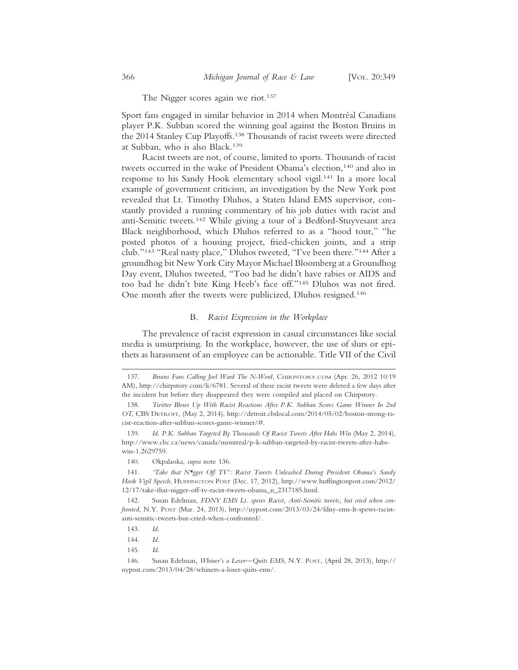The Nigger scores again we riot.<sup>137</sup>

Sport fans engaged in similar behavior in 2014 when Montréal Canadians player P.K. Subban scored the winning goal against the Boston Bruins in the 2014 Stanley Cup Playoffs.138 Thousands of racist tweets were directed at Subban, who is also Black.139

Racist tweets are not, of course, limited to sports. Thousands of racist tweets occurred in the wake of President Obama's election,<sup>140</sup> and also in response to his Sandy Hook elementary school vigil.141 In a more local example of government criticism, an investigation by the New York post revealed that Lt. Timothy Dluhos, a Staten Island EMS supervisor, constantly provided a running commentary of his job duties with racist and anti-Semitic tweets.142 While giving a tour of a Bedford-Stuyvesant area Black neighborhood, which Dluhos referred to as a "hood tour," "he posted photos of a housing project, fried-chicken joints, and a strip club."143 "Real nasty place," Dluhos tweeted, "I've been there."144 After a groundhog bit New York City Mayor Michael Bloomberg at a Groundhog Day event, Dluhos tweeted, "Too bad he didn't have rabies or AIDS and too bad he didn't bite King Heeb's face off."145 Dluhos was not fired. One month after the tweets were publicized, Dluhos resigned.146

#### B. *Racist Expression in the Workplace*

The prevalence of racist expression in casual circumstances like social media is unsurprising. In the workplace, however, the use of slurs or epithets as harassment of an employee can be actionable. Title VII of the Civil

140. Okpalaoka, *supra* note 136.

141. *'Take that N\*gger Off TV': Racist Tweets Unleashed During President Obama's Sandy Hook Vigil Speech*, HUFFINGTON POST (Dec. 17, 2012), http://www.huffingtonpost.com/2012/ 12/17/take-that-nigger-off-tv-racist-tweets-obama\_n\_2317185.html.

142. Susan Edelman, *FDNY EMS Lt. spews Racist, Anti-Semitic tweets, but cried when confronted*, N.Y. POST (Mar. 24, 2013), http://nypost.com/2013/03/24/fdny-ems-lt-spews-racistanti-semitic-tweets-but-cried-when-confronted/.

143. *Id.*

145. *Id.*

146. Susan Edelman, *Whiner's a Loser—Quits EMS*, N.Y. POST, (April 28, 2013), http:// nypost.com/2013/04/28/whiners-a-loser-quits-ems/.

<sup>137.</sup> *Bruins Fans Calling Joel Ward The N-Word*, CHIRPSTORY.COM (Apr. 26, 2012 10:19 AM), http://chirpstory.com/li/6781. Several of these racist tweets were deleted a few days after the incident but before they disappeared they were compiled and placed on Chirpstory.

<sup>138.</sup> *Twitter Blows Up With Racist Reactions After P.K. Subban Scores Game Winner In 2nd OT*, CBS DETROIT, (May 2, 2014), http://detroit.cbslocal.com/2014/05/02/boston-strong-racist-reaction-after-subban-scores-game-winner/#.

<sup>139.</sup> *Id*. *P.K. Subban Targeted By Thousands Of Racist Tweets After Habs Win* (May 2, 2014), http://www.cbc.ca/news/canada/montreal/p-k-subban-targeted-by-racist-tweets-after-habswin-1.2629759.

<sup>144.</sup> *Id.*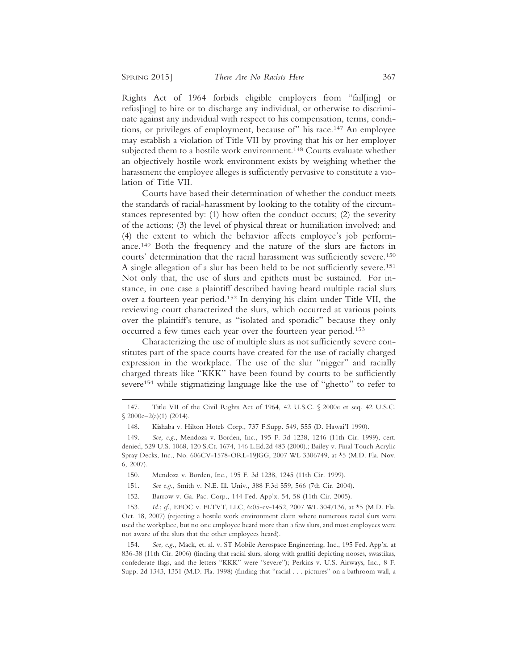Rights Act of 1964 forbids eligible employers from "fail[ing] or refus[ing] to hire or to discharge any individual, or otherwise to discriminate against any individual with respect to his compensation, terms, conditions, or privileges of employment, because of" his race.147 An employee may establish a violation of Title VII by proving that his or her employer subjected them to a hostile work environment.<sup>148</sup> Courts evaluate whether an objectively hostile work environment exists by weighing whether the harassment the employee alleges is sufficiently pervasive to constitute a violation of Title VII.

Courts have based their determination of whether the conduct meets the standards of racial-harassment by looking to the totality of the circumstances represented by: (1) how often the conduct occurs; (2) the severity of the actions; (3) the level of physical threat or humiliation involved; and (4) the extent to which the behavior affects employee's job performance.149 Both the frequency and the nature of the slurs are factors in courts' determination that the racial harassment was sufficiently severe.150 A single allegation of a slur has been held to be not sufficiently severe.151 Not only that, the use of slurs and epithets must be sustained. For instance, in one case a plaintiff described having heard multiple racial slurs over a fourteen year period.152 In denying his claim under Title VII, the reviewing court characterized the slurs, which occurred at various points over the plaintiff's tenure, as "isolated and sporadic" because they only occurred a few times each year over the fourteen year period.153

Characterizing the use of multiple slurs as not sufficiently severe constitutes part of the space courts have created for the use of racially charged expression in the workplace. The use of the slur "nigger" and racially charged threats like "KKK" have been found by courts to be sufficiently severe<sup>154</sup> while stigmatizing language like the use of "ghetto" to refer to

<sup>147.</sup> Title VII of the Civil Rights Act of 1964, 42 U.S.C. § 2000e et seq. 42 U.S.C.  $$2000e-2(a)(1) (2014).$ 

<sup>148.</sup> Kishaba v. Hilton Hotels Corp., 737 F.Supp. 549, 555 (D. Hawai'I 1990).

<sup>149.</sup> *See, e.g.*, Mendoza v. Borden, Inc., 195 F. 3d 1238, 1246 (11th Cir. 1999), cert. denied, 529 U.S. 1068, 120 S.Ct. 1674, 146 L.Ed.2d 483 (2000).; Bailey v. Final Touch Acrylic Spray Decks, Inc., No. 606CV-1578-ORL-19JGG, 2007 WL 3306749, at \*5 (M.D. Fla. Nov. 6, 2007).

<sup>150.</sup> Mendoza v. Borden, Inc., 195 F. 3d 1238, 1245 (11th Cir. 1999).

<sup>151.</sup> *See e.g.*, Smith v. N.E. Ill. Univ., 388 F.3d 559, 566 (7th Cir. 2004).

<sup>152.</sup> Barrow v. Ga. Pac. Corp., 144 Fed. App'x. 54, 58 (11th Cir. 2005).

<sup>153.</sup> *Id.*; *cf.*, EEOC v. FLTVT, LLC, 6:05-cv-1452, 2007 WL 3047136, at \*5 (M.D. Fla. Oct. 18, 2007) (rejecting a hostile work environment claim where numerous racial slurs were used the workplace, but no one employee heard more than a few slurs, and most employees were not aware of the slurs that the other employees heard).

<sup>154.</sup> *See, e.g.,* Mack, et. al. v. ST Mobile Aerospace Engineering, Inc., 195 Fed. App'x. at 836-38 (11th Cir. 2006) (finding that racial slurs, along with graffiti depicting nooses, swastikas, confederate flags, and the letters "KKK" were "severe"); Perkins v. U.S. Airways, Inc., 8 F. Supp. 2d 1343, 1351 (M.D. Fla. 1998) (finding that "racial . . . pictures" on a bathroom wall, a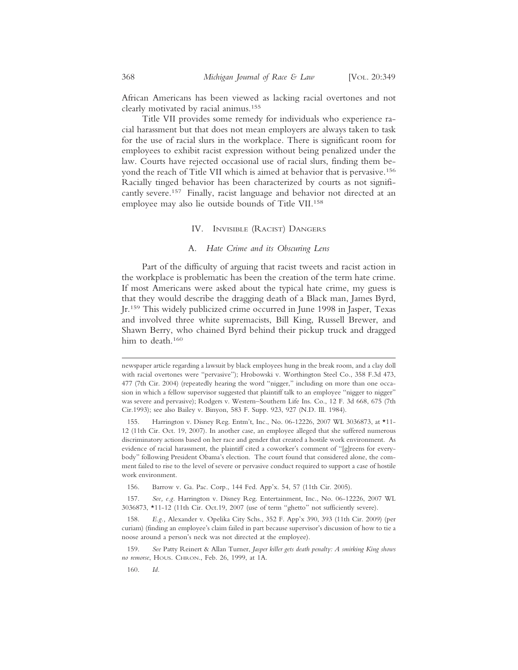African Americans has been viewed as lacking racial overtones and not clearly motivated by racial animus.155

Title VII provides some remedy for individuals who experience racial harassment but that does not mean employers are always taken to task for the use of racial slurs in the workplace. There is significant room for employees to exhibit racist expression without being penalized under the law. Courts have rejected occasional use of racial slurs, finding them beyond the reach of Title VII which is aimed at behavior that is pervasive.156 Racially tinged behavior has been characterized by courts as not significantly severe.<sup>157</sup> Finally, racist language and behavior not directed at an employee may also lie outside bounds of Title VII.158

#### IV. INVISIBLE (RACIST) DANGERS

#### A. *Hate Crime and its Obscuring Lens*

Part of the difficulty of arguing that racist tweets and racist action in the workplace is problematic has been the creation of the term hate crime. If most Americans were asked about the typical hate crime, my guess is that they would describe the dragging death of a Black man, James Byrd, Jr.159 This widely publicized crime occurred in June 1998 in Jasper, Texas and involved three white supremacists, Bill King, Russell Brewer, and Shawn Berry, who chained Byrd behind their pickup truck and dragged him to death.<sup>160</sup>

newspaper article regarding a lawsuit by black employees hung in the break room, and a clay doll with racial overtones were "pervasive"); Hrobowski v. Worthington Steel Co., 358 F.3d 473, 477 (7th Cir. 2004) (repeatedly hearing the word "nigger," including on more than one occasion in which a fellow supervisor suggested that plaintiff talk to an employee "nigger to nigger" was severe and pervasive); Rodgers v. Western–Southern Life Ins. Co., 12 F. 3d 668, 675 (7th Cir.1993); see also Bailey v. Binyon, 583 F. Supp. 923, 927 (N.D. Ill. 1984).

<sup>155.</sup> Harrington v. Disney Reg. Entm't, Inc., No. 06-12226, 2007 WL 3036873, at \*11- 12 (11th Cir. Oct. 19, 2007). In another case, an employee alleged that she suffered numerous discriminatory actions based on her race and gender that created a hostile work environment. As evidence of racial harassment, the plaintiff cited a coworker's comment of "[g]reens for everybody" following President Obama's election. The court found that considered alone, the comment failed to rise to the level of severe or pervasive conduct required to support a case of hostile work environment.

<sup>156.</sup> Barrow v. Ga. Pac. Corp., 144 Fed. App'x. 54, 57 (11th Cir. 2005).

<sup>157.</sup> *See, e.g.* Harrington v. Disney Reg. Entertainment, Inc., No. 06-12226, 2007 WL 3036873, \*11-12 (11th Cir. Oct.19, 2007 (use of term "ghetto" not sufficiently severe).

<sup>158.</sup> *E.g.,* Alexander v. Opelika City Schs., 352 F. App'x 390, 393 (11th Cir. 2009) (per curiam) (finding an employee's claim failed in part because supervisor's discussion of how to tie a noose around a person's neck was not directed at the employee).

<sup>159.</sup> *See* Patty Reinert & Allan Turner, *Jasper killer gets death penalty: A smirking King shows no remorse*, HOUS. CHRON., Feb. 26, 1999, at 1A.

<sup>160.</sup> *Id.*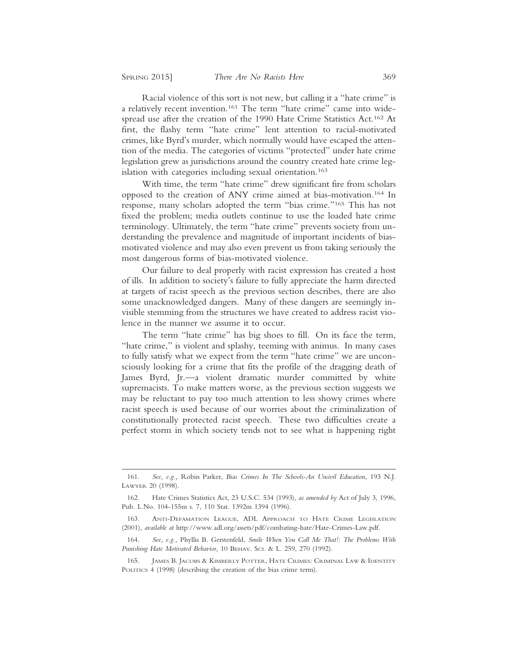Racial violence of this sort is not new, but calling it a "hate crime" is a relatively recent invention.161 The term "hate crime" came into widespread use after the creation of the 1990 Hate Crime Statistics Act.162 At first, the flashy term "hate crime" lent attention to racial-motivated crimes, like Byrd's murder, which normally would have escaped the attention of the media. The categories of victims "protected" under hate crime legislation grew as jurisdictions around the country created hate crime legislation with categories including sexual orientation.<sup>163</sup>

With time, the term "hate crime" drew significant fire from scholars opposed to the creation of ANY crime aimed at bias-motivation.164 In response, many scholars adopted the term "bias crime."165 This has not fixed the problem; media outlets continue to use the loaded hate crime terminology. Ultimately, the term "hate crime" prevents society from understanding the prevalence and magnitude of important incidents of biasmotivated violence and may also even prevent us from taking seriously the most dangerous forms of bias-motivated violence.

Our failure to deal properly with racist expression has created a host of ills. In addition to society's failure to fully appreciate the harm directed at targets of racist speech as the previous section describes, there are also some unacknowledged dangers. Many of these dangers are seemingly invisible stemming from the structures we have created to address racist violence in the manner we assume it to occur.

The term "hate crime" has big shoes to fill. On its face the term, "hate crime," is violent and splashy, teeming with animus. In many cases to fully satisfy what we expect from the term "hate crime" we are unconsciously looking for a crime that fits the profile of the dragging death of James Byrd, Jr.—a violent dramatic murder committed by white supremacists. To make matters worse, as the previous section suggests we may be reluctant to pay too much attention to less showy crimes where racist speech is used because of our worries about the criminalization of constitutionally protected racist speech. These two difficulties create a perfect storm in which society tends not to see what is happening right

<sup>161.</sup> *See, e.g.,* Robin Parker, *Bias Crimes In The Schools-An Uncivil Education*, 193 N.J. LAWYER 20 (1998).

<sup>162.</sup> Hate Crimes Statistics Act, 23 U.S.C. 534 (1993), *as amended by* Act of July 3, 1996, Pub. L.No. 104-155m s. 7, 110 Stat. 1392m 1394 (1996).

<sup>163.</sup> ANTI-DEFAMATION LEAGUE, ADL APPROACH TO HATE CRIME LEGISLATION (2001), *available at* http://www.adl.org/assets/pdf/combating-hate/Hate-Crimes-Law.pdf.

<sup>164.</sup> *See, e.g.,* Phyllis B. Gerstenfeld, *Smile When You Call Me That!: The Problems With Punishing Hate Motivated Behavior,* 10 BEHAV. SCI. & L. 259, 270 (1992).

<sup>165.</sup> JAMES B. JACOBS & KIMBERLY POTTER, HATE CRIMES: CRIMINAL LAW & IDENTITY POLITICS 4 (1998) (describing the creation of the bias crime term).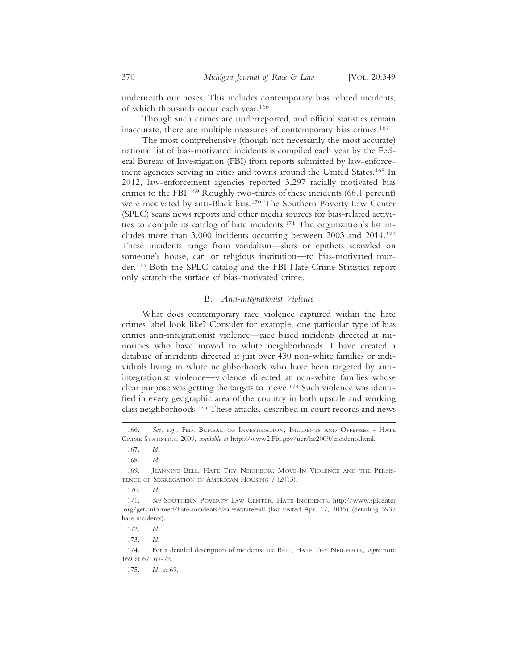underneath our noses. This includes contemporary bias related incidents, of which thousands occur each year.166

Though such crimes are underreported, and official statistics remain inaccurate, there are multiple measures of contemporary bias crimes.167

The most comprehensive (though not necessarily the most accurate) national list of bias-motivated incidents is compiled each year by the Federal Bureau of Investigation (FBI) from reports submitted by law-enforcement agencies serving in cities and towns around the United States.168 In 2012, law-enforcement agencies reported 3,297 racially motivated bias crimes to the FBI.169 Roughly two-thirds of these incidents (66.1 percent) were motivated by anti-Black bias.170 The Southern Poverty Law Center (SPLC) scans news reports and other media sources for bias-related activities to compile its catalog of hate incidents.171 The organization's list includes more than 3,000 incidents occurring between 2003 and 2014.172 These incidents range from vandalism—slurs or epithets scrawled on someone's house, car, or religious institution—to bias-motivated murder.173 Both the SPLC catalog and the FBI Hate Crime Statistics report only scratch the surface of bias-motivated crime.

#### B. *Anti-integrationist Violence*

What does contemporary race violence captured within the hate crimes label look like? Consider for example, one particular type of bias crimes anti-integrationist violence—race based incidents directed at minorities who have moved to white neighborhoods. I have created a database of incidents directed at just over 430 non-white families or individuals living in white neighborhoods who have been targeted by antiintegrationist violence—violence directed at non-white families whose clear purpose was getting the targets to move.174 Such violence was identified in every geographic area of the country in both upscale and working class neighborhoods.175 These attacks, described in court records and news

<sup>166.</sup> *See, e.g.,* FED. BUREAU OF INVESTIGATION, INCIDENTS AND OFFENSES - HATE CRIME STATISTICS, 2009, *available at* http://www2.Fbi.gov/ucr/hc2009/incidents.html.

<sup>167.</sup> *Id.*

<sup>168.</sup> *Id.*

<sup>169.</sup> JEANNINE BELL, HATE THY NEIGHBOR: MOVE-IN VIOLENCE AND THE PERSIS-TENCE OF SEGREGATION IN AMERICAN HOUSING 7 (2013).

<sup>170.</sup> *Id.*

<sup>171.</sup> *See* SOUTHERN POVERTY LAW CENTER, HATE INCIDENTS, http://www.splcenter .org/get-informed/hate-incidents?year=&state=all (last visited Apr. 17, 2015) (detailing 3937 hate incidents).

<sup>172.</sup> *Id.*

<sup>173.</sup> *Id.*

<sup>174.</sup> For a detailed description of incidents, see BELL, HATE THY NEIGHBOR, *supra* note 169 at 67, 69-72.

<sup>175.</sup> *Id.* at 69.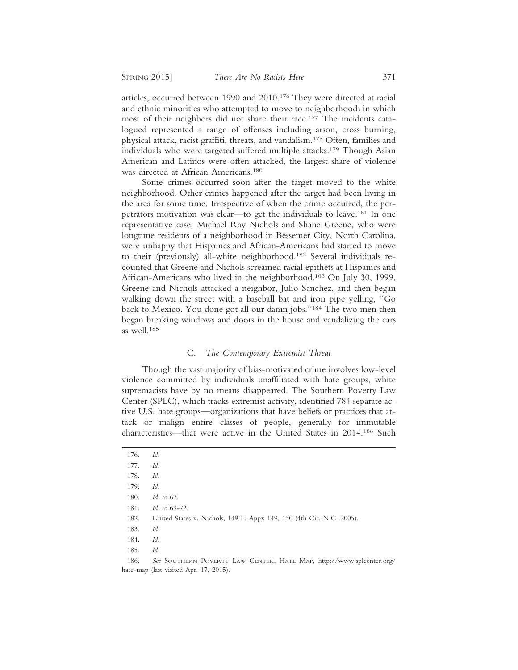articles, occurred between 1990 and 2010.176 They were directed at racial and ethnic minorities who attempted to move to neighborhoods in which most of their neighbors did not share their race.177 The incidents catalogued represented a range of offenses including arson, cross burning, physical attack, racist graffiti, threats, and vandalism.178 Often, families and individuals who were targeted suffered multiple attacks.<sup>179</sup> Though Asian American and Latinos were often attacked, the largest share of violence was directed at African Americans.180

Some crimes occurred soon after the target moved to the white neighborhood. Other crimes happened after the target had been living in the area for some time. Irrespective of when the crime occurred, the perpetrators motivation was clear—to get the individuals to leave.181 In one representative case, Michael Ray Nichols and Shane Greene, who were longtime residents of a neighborhood in Bessemer City, North Carolina, were unhappy that Hispanics and African-Americans had started to move to their (previously) all-white neighborhood.182 Several individuals recounted that Greene and Nichols screamed racial epithets at Hispanics and African-Americans who lived in the neighborhood.183 On July 30, 1999, Greene and Nichols attacked a neighbor, Julio Sanchez, and then began walking down the street with a baseball bat and iron pipe yelling, "Go back to Mexico. You done got all our damn jobs."184 The two men then began breaking windows and doors in the house and vandalizing the cars as well.185

#### C. *The Contemporary Extremist Threat*

Though the vast majority of bias-motivated crime involves low-level violence committed by individuals unaffiliated with hate groups, white supremacists have by no means disappeared. The Southern Poverty Law Center (SPLC), which tracks extremist activity, identified 784 separate active U.S. hate groups—organizations that have beliefs or practices that attack or malign entire classes of people, generally for immutable characteristics—that were active in the United States in 2014.186 Such

<sup>176.</sup> *Id.*

<sup>177.</sup> *Id.*

<sup>178.</sup> *Id.*

<sup>179.</sup> *Id.*

<sup>180.</sup> *Id.* at 67.

<sup>181.</sup> *Id.* at 69-72.

<sup>182.</sup> United States v. Nichols, 149 F. Appx 149, 150 (4th Cir. N.C. 2005).

<sup>183.</sup> *Id.*

<sup>184.</sup> *Id.*

<sup>186.</sup> *See* SOUTHERN POVERTY LAW CENTER, HATE MAP, http://www.splcenter.org/ hate-map (last visited Apr. 17, 2015).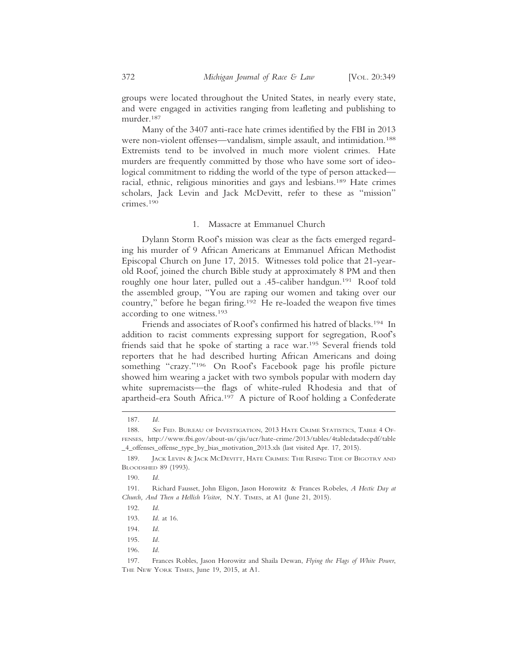groups were located throughout the United States, in nearly every state, and were engaged in activities ranging from leafleting and publishing to murder.187

Many of the 3407 anti-race hate crimes identified by the FBI in 2013 were non-violent offenses—vandalism, simple assault, and intimidation.188 Extremists tend to be involved in much more violent crimes. Hate murders are frequently committed by those who have some sort of ideological commitment to ridding the world of the type of person attacked racial, ethnic, religious minorities and gays and lesbians.189 Hate crimes scholars, Jack Levin and Jack McDevitt, refer to these as "mission" crimes.190

#### 1. Massacre at Emmanuel Church

Dylann Storm Roof's mission was clear as the facts emerged regarding his murder of 9 African Americans at Emmanuel African Methodist Episcopal Church on June 17, 2015. Witnesses told police that 21-yearold Roof, joined the church Bible study at approximately 8 PM and then roughly one hour later, pulled out a .45-caliber handgun.191 Roof told the assembled group, "You are raping our women and taking over our country," before he began firing.192 He re-loaded the weapon five times according to one witness.193

Friends and associates of Roof's confirmed his hatred of blacks.<sup>194</sup> In addition to racist comments expressing support for segregation, Roof's friends said that he spoke of starting a race war.195 Several friends told reporters that he had described hurting African Americans and doing something "crazy."196 On Roof's Facebook page his profile picture showed him wearing a jacket with two symbols popular with modern day white supremacists—the flags of white-ruled Rhodesia and that of apartheid-era South Africa.197 A picture of Roof holding a Confederate

<sup>187.</sup> *Id.*

<sup>188.</sup> *See* FED. BUREAU OF INVESTIGATION, 2013 HATE CRIME STATISTICS, TABLE 4 OF-FENSES, http://www.fbi.gov/about-us/cjis/ucr/hate-crime/2013/tables/4tabledatadecpdf/table \_4\_offenses\_offense\_type\_by\_bias\_motivation\_2013.xls (last visited Apr. 17, 2015).

<sup>189.</sup> JACK LEVIN & JACK MCDEVITT, HATE CRIMES: THE RISING TIDE OF BIGOTRY AND BLOODSHED 89 (1993).

<sup>190.</sup> *Id.*

<sup>191.</sup> Richard Fausset, John Eligon, Jason Horowitz & Frances Robeles, *A Hectic Day at Church, And Then a Hellish Visitor*, N.Y. TIMES, at A1 (June 21, 2015).

<sup>192.</sup> *Id*.

<sup>193.</sup> *Id*. at 16.

<sup>194.</sup> *Id*.

<sup>195.</sup> *Id.*

<sup>197.</sup> Frances Robles, Jason Horowitz and Shaila Dewan, *Flying the Flags of White Power*, THE NEW YORK TIMES, June 19, 2015, at A1.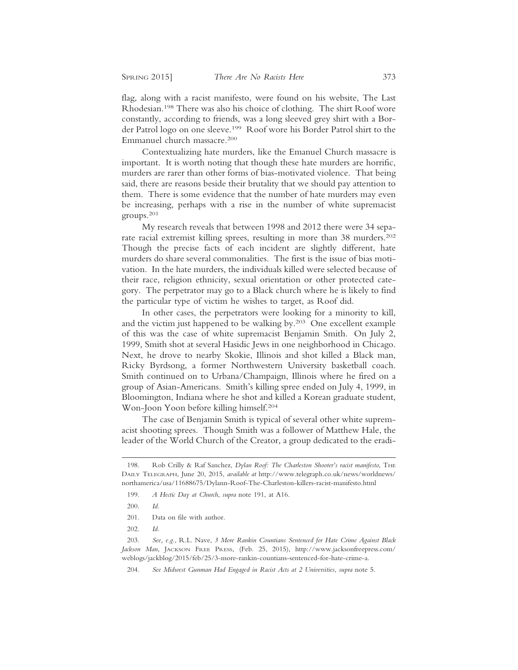flag, along with a racist manifesto, were found on his website, The Last Rhodesian.198 There was also his choice of clothing. The shirt Roof wore constantly, according to friends, was a long sleeved grey shirt with a Border Patrol logo on one sleeve.199 Roof wore his Border Patrol shirt to the Emmanuel church massacre.200

Contextualizing hate murders, like the Emanuel Church massacre is important. It is worth noting that though these hate murders are horrific, murders are rarer than other forms of bias-motivated violence. That being said, there are reasons beside their brutality that we should pay attention to them. There is some evidence that the number of hate murders may even be increasing, perhaps with a rise in the number of white supremacist groups.201

My research reveals that between 1998 and 2012 there were 34 separate racial extremist killing sprees, resulting in more than 38 murders.202 Though the precise facts of each incident are slightly different, hate murders do share several commonalities. The first is the issue of bias motivation. In the hate murders, the individuals killed were selected because of their race, religion ethnicity, sexual orientation or other protected category. The perpetrator may go to a Black church where he is likely to find the particular type of victim he wishes to target, as Roof did.

In other cases, the perpetrators were looking for a minority to kill, and the victim just happened to be walking by.203 One excellent example of this was the case of white supremacist Benjamin Smith. On July 2, 1999, Smith shot at several Hasidic Jews in one neighborhood in Chicago. Next, he drove to nearby Skokie, Illinois and shot killed a Black man, Ricky Byrdsong, a former Northwestern University basketball coach. Smith continued on to Urbana/Champaign, Illinois where he fired on a group of Asian-Americans. Smith's killing spree ended on July 4, 1999, in Bloomington, Indiana where he shot and killed a Korean graduate student, Won-Joon Yoon before killing himself.204

The case of Benjamin Smith is typical of several other white supremacist shooting sprees. Though Smith was a follower of Matthew Hale, the leader of the World Church of the Creator, a group dedicated to the eradi-

- 201. Data on file with author.
- 202. *Id.*

<sup>198.</sup> Rob Crilly & Raf Sanchez, *Dylan Roof: The Charleston Shooter's racist manifesto*, THE DAILY TELEGRAPH, June 20, 2015, *available at* http://www.telegraph.co.uk/news/worldnews/ northamerica/usa/11688675/Dylann-Roof-The-Charleston-killers-racist-manifesto.html

<sup>199.</sup> *A Hectic Day at Church*, *supra* note 191, at A16.

<sup>200.</sup> *Id.*

<sup>203.</sup> *See, e.g*., R.L. Nave, *3 More Rankin Countians Sentenced for Hate Crime Against Black Jackson Man*, JACKSON FREE PRESS, (Feb. 25, 2015), http://www.jacksonfreepress.com/ weblogs/jackblog/2015/feb/25/3-more-rankin-countians-sentenced-for-hate-crime-a.

<sup>204.</sup> *See Midwest Gunman Had Engaged in Racist Acts at 2 Universities*, *supra* note 5.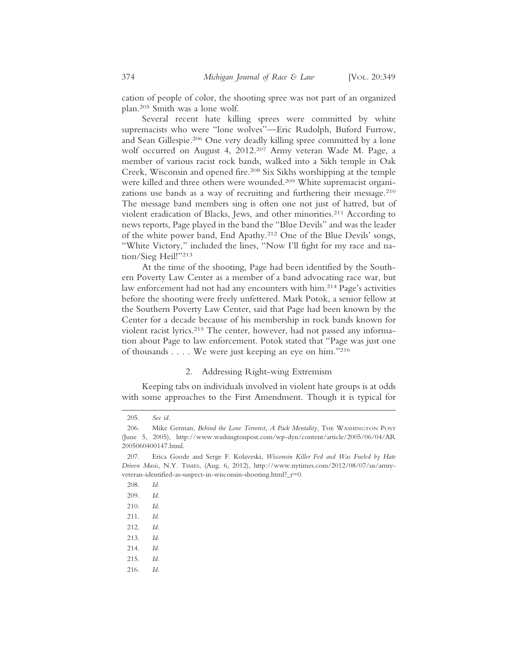cation of people of color, the shooting spree was not part of an organized plan.205 Smith was a lone wolf.

Several recent hate killing sprees were committed by white supremacists who were "lone wolves"—Eric Rudolph, Buford Furrow, and Sean Gillespie.206 One very deadly killing spree committed by a lone wolf occurred on August 4, 2012.207 Army veteran Wade M. Page, a member of various racist rock bands, walked into a Sikh temple in Oak Creek, Wisconsin and opened fire.208 Six Sikhs worshipping at the temple were killed and three others were wounded.209 White supremacist organizations use bands as a way of recruiting and furthering their message.<sup>210</sup> The message band members sing is often one not just of hatred, but of violent eradication of Blacks, Jews, and other minorities.211 According to news reports, Page played in the band the "Blue Devils" and was the leader of the white power band, End Apathy.212 One of the Blue Devils' songs, "White Victory," included the lines, "Now I'll fight for my race and nation/Sieg Heil!"213

At the time of the shooting, Page had been identified by the Southern Poverty Law Center as a member of a band advocating race war, but law enforcement had not had any encounters with him.214 Page's activities before the shooting were freely unfettered. Mark Potok, a senior fellow at the Southern Poverty Law Center, said that Page had been known by the Center for a decade because of his membership in rock bands known for violent racist lyrics.215 The center, however, had not passed any information about Page to law enforcement. Potok stated that "Page was just one of thousands . . . . We were just keeping an eye on him."216

#### 2. Addressing Right-wing Extremism

Keeping tabs on individuals involved in violent hate groups is at odds with some approaches to the First Amendment. Though it is typical for

<sup>205.</sup> *See id.*

<sup>206.</sup> Mike German, *Behind the Lone Terrorist*, *A Pack Mentality*, THE WASHINGTON POST (June 5, 2005), http://www.washingtonpost.com/wp-dyn/content/article/2005/06/04/AR 2005060400147.html.

<sup>207.</sup> Erica Goode and Serge F. Kolaveski, *Wisconsin Killer Fed and Was Fueled by Hate Driven Music*, N.Y. TIMES, (Aug. 6, 2012), http://www.nytimes.com/2012/08/07/us/armyveteran-identified-as-suspect-in-wisconsin-shooting.html?\_r=0.

<sup>208.</sup> *Id.*

<sup>209.</sup> *Id.*

<sup>210.</sup> *Id*.

<sup>211.</sup> *Id.*

<sup>212.</sup> *Id*.

<sup>213.</sup> *Id*.

<sup>215.</sup> *Id*.

<sup>216.</sup> *Id*.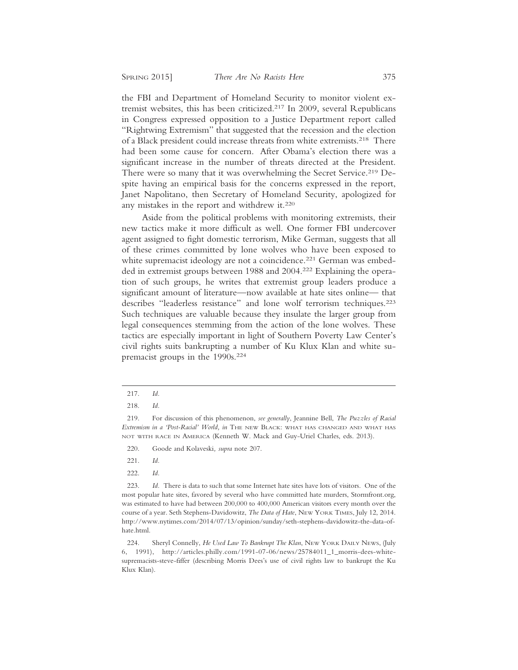the FBI and Department of Homeland Security to monitor violent extremist websites, this has been criticized.217 In 2009, several Republicans in Congress expressed opposition to a Justice Department report called "Rightwing Extremism" that suggested that the recession and the election of a Black president could increase threats from white extremists.<sup>218</sup> There had been some cause for concern. After Obama's election there was a significant increase in the number of threats directed at the President. There were so many that it was overwhelming the Secret Service.<sup>219</sup> Despite having an empirical basis for the concerns expressed in the report, Janet Napolitano, then Secretary of Homeland Security, apologized for any mistakes in the report and withdrew it.220

Aside from the political problems with monitoring extremists, their new tactics make it more difficult as well. One former FBI undercover agent assigned to fight domestic terrorism, Mike German, suggests that all of these crimes committed by lone wolves who have been exposed to white supremacist ideology are not a coincidence.<sup>221</sup> German was embedded in extremist groups between 1988 and 2004.<sup>222</sup> Explaining the operation of such groups, he writes that extremist group leaders produce a significant amount of literature—now available at hate sites online— that describes "leaderless resistance" and lone wolf terrorism techniques.223 Such techniques are valuable because they insulate the larger group from legal consequences stemming from the action of the lone wolves. These tactics are especially important in light of Southern Poverty Law Center's civil rights suits bankrupting a number of Ku Klux Klan and white supremacist groups in the 1990s.224

<sup>217.</sup> *Id.*

<sup>218.</sup> *Id.*

<sup>219.</sup> For discussion of this phenomenon, *see generally*, Jeannine Bell, *The Puzzles of Racial Extremism in a 'Post-Racial' World, in* THE NEW BLACK: WHAT HAS CHANGED AND WHAT HAS NOT WITH RACE IN AMERICA (Kenneth W. Mack and Guy-Uriel Charles, eds. 2013).

<sup>220.</sup> Goode and Kolaveski*, supra* note 207.

<sup>221.</sup> *Id.*

<sup>223.</sup> *Id.* There is data to such that some Internet hate sites have lots of visitors. One of the most popular hate sites, favored by several who have committed hate murders, Stormfront.org, was estimated to have had between 200,000 to 400,000 American visitors every month over the course of a year. Seth Stephens-Davidowitz, *The Data of Hate*, NEW YORK TIMES, July 12, 2014. http://www.nytimes.com/2014/07/13/opinion/sunday/seth-stephens-davidowitz-the-data-ofhate.html.

<sup>224.</sup> Sheryl Connelly, *He Used Law To Bankrupt The Klan*, NEW YORK DAILY NEWS, (July 6, 1991), http://articles.philly.com/1991-07-06/news/25784011\_1\_morris-dees-whitesupremacists-steve-fiffer (describing Morris Dees's use of civil rights law to bankrupt the Ku Klux Klan).